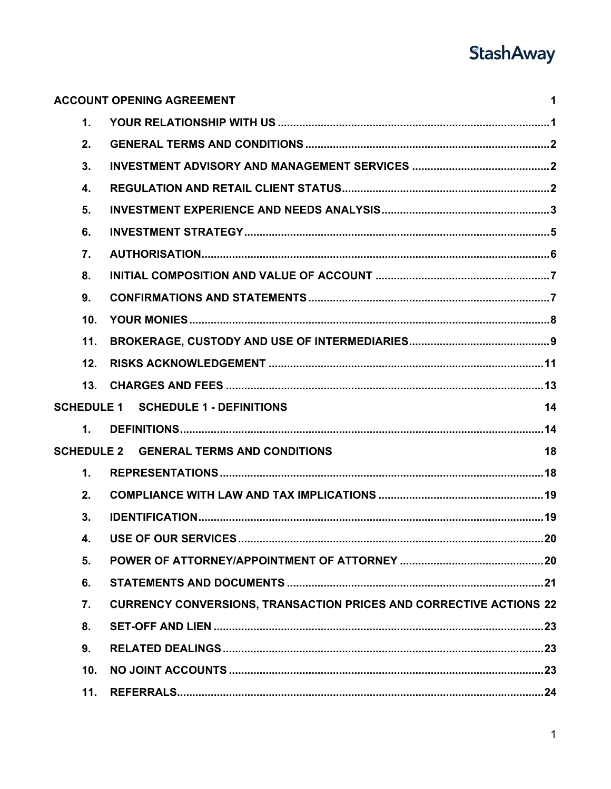# **StashAway**

|                  | <b>ACCOUNT OPENING AGREEMENT</b><br>1                                     |
|------------------|---------------------------------------------------------------------------|
| $\mathbf 1$ .    |                                                                           |
| 2.               |                                                                           |
| 3.               |                                                                           |
| 4.               |                                                                           |
| 5.               |                                                                           |
| 6.               |                                                                           |
| $\overline{7}$ . |                                                                           |
| 8.               |                                                                           |
| 9.               |                                                                           |
| 10.              |                                                                           |
| 11.              |                                                                           |
| 12.              |                                                                           |
| 13.              |                                                                           |
|                  | <b>SCHEDULE 1 SCHEDULE 1 - DEFINITIONS</b><br>14                          |
| $\mathbf{1}$ .   |                                                                           |
|                  | <b>SCHEDULE 2 GENERAL TERMS AND CONDITIONS</b><br>18                      |
| $\mathbf 1$ .    |                                                                           |
| 2.               |                                                                           |
| 3.               |                                                                           |
| 4.               |                                                                           |
| 5.               |                                                                           |
| 6.               |                                                                           |
| 7.               | <b>CURRENCY CONVERSIONS, TRANSACTION PRICES AND CORRECTIVE ACTIONS 22</b> |
| 8.               |                                                                           |
| 9.               |                                                                           |
| 10.              |                                                                           |
|                  |                                                                           |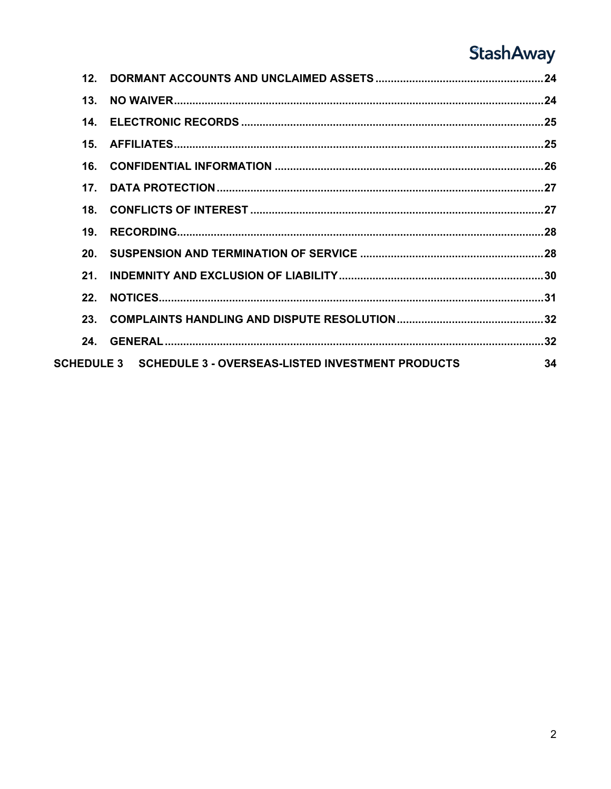## **StashAway**

| 12 <sub>1</sub> |                                                             |    |
|-----------------|-------------------------------------------------------------|----|
| 13 <sub>1</sub> |                                                             |    |
| 14.             |                                                             |    |
| 15 <sub>1</sub> |                                                             |    |
| 16              |                                                             |    |
| 17 <sub>1</sub> |                                                             |    |
| 18.             |                                                             |    |
| 19.             |                                                             |    |
| 20.             |                                                             |    |
| 21              |                                                             |    |
| 22 <sub>1</sub> |                                                             |    |
| 23.             |                                                             |    |
| 24.             |                                                             |    |
|                 | SCHEDULE 3 SCHEDULE 3 - OVERSEAS-LISTED INVESTMENT PRODUCTS | 34 |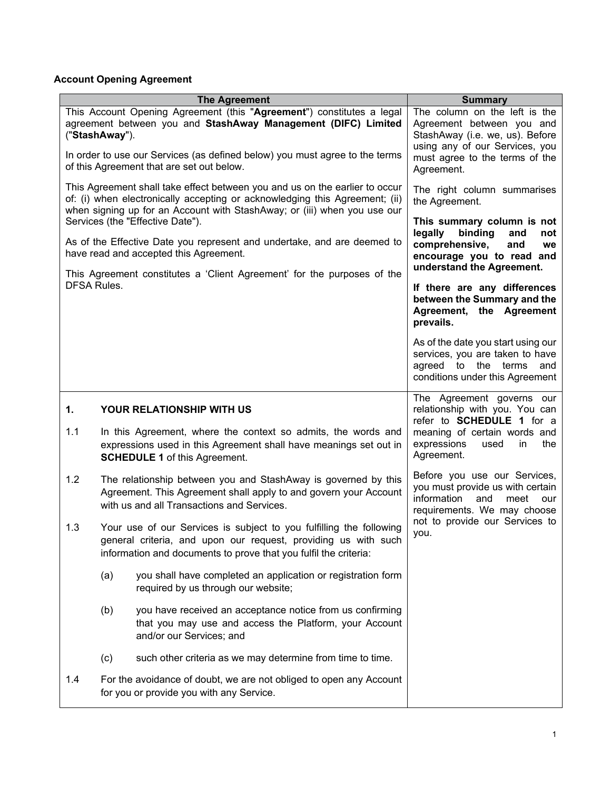## <span id="page-2-0"></span>**Account Opening Agreement**

<span id="page-2-1"></span>

| <b>The Agreement</b>                                                                                                                                                                                                                    | <b>Summary</b>                                                                                                                         |  |
|-----------------------------------------------------------------------------------------------------------------------------------------------------------------------------------------------------------------------------------------|----------------------------------------------------------------------------------------------------------------------------------------|--|
| This Account Opening Agreement (this "Agreement") constitutes a legal<br>agreement between you and StashAway Management (DIFC) Limited<br>("StashAway").<br>In order to use our Services (as defined below) you must agree to the terms | The column on the left is the<br>Agreement between you and<br>StashAway (i.e. we, us). Before<br>using any of our Services, you        |  |
| of this Agreement that are set out below.                                                                                                                                                                                               | must agree to the terms of the<br>Agreement.                                                                                           |  |
| This Agreement shall take effect between you and us on the earlier to occur<br>of: (i) when electronically accepting or acknowledging this Agreement; (ii)<br>when signing up for an Account with StashAway; or (iii) when you use our  | The right column summarises<br>the Agreement.                                                                                          |  |
| Services (the "Effective Date").                                                                                                                                                                                                        | This summary column is not<br>binding<br>legally<br>and<br>not                                                                         |  |
| As of the Effective Date you represent and undertake, and are deemed to<br>have read and accepted this Agreement.<br>This Agreement constitutes a 'Client Agreement' for the purposes of the                                            | comprehensive,<br>and<br>we<br>encourage you to read and<br>understand the Agreement.                                                  |  |
| <b>DFSA Rules.</b>                                                                                                                                                                                                                      | If there are any differences<br>between the Summary and the<br>Agreement, the Agreement<br>prevails.                                   |  |
|                                                                                                                                                                                                                                         | As of the date you start using our<br>services, you are taken to have<br>agreed to the terms<br>and<br>conditions under this Agreement |  |
| 1.<br><b>YOUR RELATIONSHIP WITH US</b>                                                                                                                                                                                                  | The Agreement governs our<br>relationship with you. You can<br>refer to <b>SCHEDULE</b> 1 for a                                        |  |
| 1.1<br>In this Agreement, where the context so admits, the words and<br>expressions used in this Agreement shall have meanings set out in<br><b>SCHEDULE 1</b> of this Agreement.                                                       | meaning of certain words and<br>expressions<br>used<br>in<br>the<br>Agreement.                                                         |  |
| 1.2<br>The relationship between you and StashAway is governed by this<br>Agreement. This Agreement shall apply to and govern your Account<br>with us and all Transactions and Services.                                                 | Before you use our Services,<br>you must provide us with certain<br>information<br>and<br>meet<br>our<br>requirements. We may choose   |  |
| 1.3<br>Your use of our Services is subject to you fulfilling the following<br>general criteria, and upon our request, providing us with such<br>information and documents to prove that you fulfil the criteria:                        | not to provide our Services to<br>you.                                                                                                 |  |
| you shall have completed an application or registration form<br>(a)<br>required by us through our website;                                                                                                                              |                                                                                                                                        |  |
| (b)<br>you have received an acceptance notice from us confirming<br>that you may use and access the Platform, your Account<br>and/or our Services; and                                                                                  |                                                                                                                                        |  |
| such other criteria as we may determine from time to time.<br>(c)                                                                                                                                                                       |                                                                                                                                        |  |
| For the avoidance of doubt, we are not obliged to open any Account<br>1.4<br>for you or provide you with any Service.                                                                                                                   |                                                                                                                                        |  |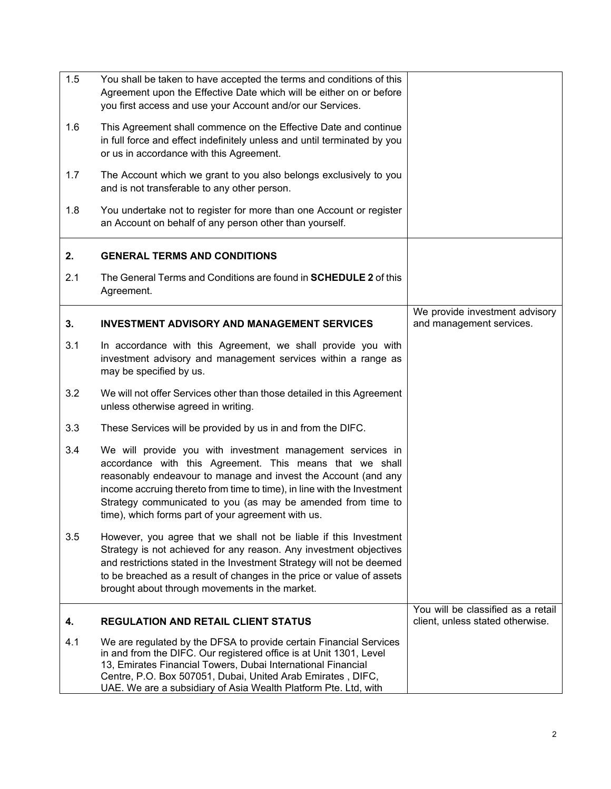<span id="page-3-2"></span><span id="page-3-1"></span><span id="page-3-0"></span>

| 1.5 | You shall be taken to have accepted the terms and conditions of this<br>Agreement upon the Effective Date which will be either on or before<br>you first access and use your Account and/or our Services.                                                                                                                                                                                 |                                                                        |
|-----|-------------------------------------------------------------------------------------------------------------------------------------------------------------------------------------------------------------------------------------------------------------------------------------------------------------------------------------------------------------------------------------------|------------------------------------------------------------------------|
| 1.6 | This Agreement shall commence on the Effective Date and continue<br>in full force and effect indefinitely unless and until terminated by you<br>or us in accordance with this Agreement.                                                                                                                                                                                                  |                                                                        |
| 1.7 | The Account which we grant to you also belongs exclusively to you<br>and is not transferable to any other person.                                                                                                                                                                                                                                                                         |                                                                        |
| 1.8 | You undertake not to register for more than one Account or register<br>an Account on behalf of any person other than yourself.                                                                                                                                                                                                                                                            |                                                                        |
| 2.  | <b>GENERAL TERMS AND CONDITIONS</b>                                                                                                                                                                                                                                                                                                                                                       |                                                                        |
| 2.1 | The General Terms and Conditions are found in <b>SCHEDULE 2</b> of this<br>Agreement.                                                                                                                                                                                                                                                                                                     |                                                                        |
| 3.  | <b>INVESTMENT ADVISORY AND MANAGEMENT SERVICES</b>                                                                                                                                                                                                                                                                                                                                        | We provide investment advisory<br>and management services.             |
| 3.1 | In accordance with this Agreement, we shall provide you with<br>investment advisory and management services within a range as<br>may be specified by us.                                                                                                                                                                                                                                  |                                                                        |
| 3.2 | We will not offer Services other than those detailed in this Agreement<br>unless otherwise agreed in writing.                                                                                                                                                                                                                                                                             |                                                                        |
| 3.3 | These Services will be provided by us in and from the DIFC.                                                                                                                                                                                                                                                                                                                               |                                                                        |
| 3.4 | We will provide you with investment management services in<br>accordance with this Agreement. This means that we shall<br>reasonably endeavour to manage and invest the Account (and any<br>income accruing thereto from time to time), in line with the Investment<br>Strategy communicated to you (as may be amended from time to<br>time), which forms part of your agreement with us. |                                                                        |
| 3.5 | However, you agree that we shall not be liable if this Investment<br>Strategy is not achieved for any reason. Any investment objectives<br>and restrictions stated in the Investment Strategy will not be deemed<br>to be breached as a result of changes in the price or value of assets<br>brought about through movements in the market.                                               |                                                                        |
| 4.  | <b>REGULATION AND RETAIL CLIENT STATUS</b>                                                                                                                                                                                                                                                                                                                                                | You will be classified as a retail<br>client, unless stated otherwise. |
| 4.1 | We are regulated by the DFSA to provide certain Financial Services<br>in and from the DIFC. Our registered office is at Unit 1301, Level<br>13, Emirates Financial Towers, Dubai International Financial<br>Centre, P.O. Box 507051, Dubai, United Arab Emirates, DIFC,<br>UAE. We are a subsidiary of Asia Wealth Platform Pte. Ltd, with                                                |                                                                        |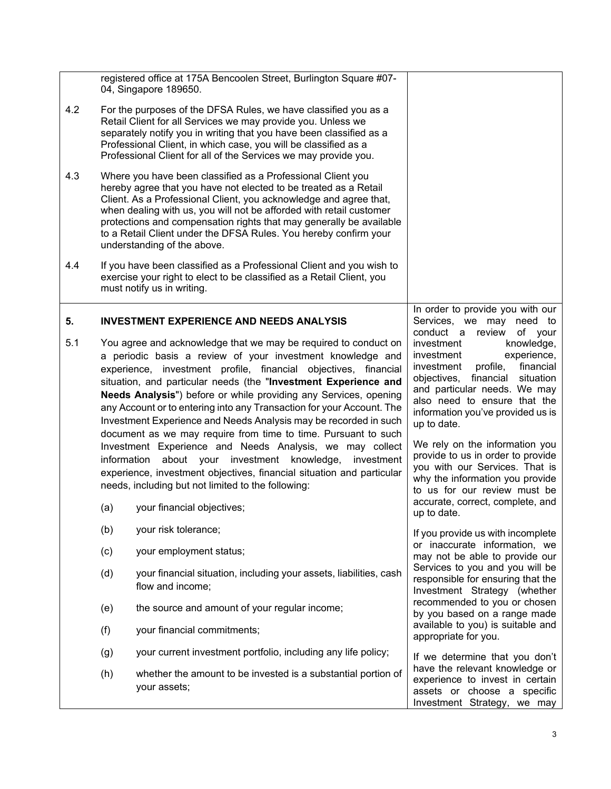<span id="page-4-0"></span>

|     |            | registered office at 175A Bencoolen Street, Burlington Square #07-<br>04, Singapore 189650.                                                                                                                                                                                                                                                                                                                                                                                                                                                                                                                                                                                                                                                                                                                                                   |                                                                                                                                                                                                                                                                                                                                                                                                                                                                                    |
|-----|------------|-----------------------------------------------------------------------------------------------------------------------------------------------------------------------------------------------------------------------------------------------------------------------------------------------------------------------------------------------------------------------------------------------------------------------------------------------------------------------------------------------------------------------------------------------------------------------------------------------------------------------------------------------------------------------------------------------------------------------------------------------------------------------------------------------------------------------------------------------|------------------------------------------------------------------------------------------------------------------------------------------------------------------------------------------------------------------------------------------------------------------------------------------------------------------------------------------------------------------------------------------------------------------------------------------------------------------------------------|
| 4.2 |            | For the purposes of the DFSA Rules, we have classified you as a<br>Retail Client for all Services we may provide you. Unless we<br>separately notify you in writing that you have been classified as a<br>Professional Client, in which case, you will be classified as a<br>Professional Client for all of the Services we may provide you.                                                                                                                                                                                                                                                                                                                                                                                                                                                                                                  |                                                                                                                                                                                                                                                                                                                                                                                                                                                                                    |
| 4.3 |            | Where you have been classified as a Professional Client you<br>hereby agree that you have not elected to be treated as a Retail<br>Client. As a Professional Client, you acknowledge and agree that,<br>when dealing with us, you will not be afforded with retail customer<br>protections and compensation rights that may generally be available<br>to a Retail Client under the DFSA Rules. You hereby confirm your<br>understanding of the above.                                                                                                                                                                                                                                                                                                                                                                                         |                                                                                                                                                                                                                                                                                                                                                                                                                                                                                    |
| 4.4 |            | If you have been classified as a Professional Client and you wish to<br>exercise your right to elect to be classified as a Retail Client, you<br>must notify us in writing.                                                                                                                                                                                                                                                                                                                                                                                                                                                                                                                                                                                                                                                                   |                                                                                                                                                                                                                                                                                                                                                                                                                                                                                    |
| 5.  |            | <b>INVESTMENT EXPERIENCE AND NEEDS ANALYSIS</b>                                                                                                                                                                                                                                                                                                                                                                                                                                                                                                                                                                                                                                                                                                                                                                                               | In order to provide you with our<br>Services,<br>we may<br>need to<br>conduct a review<br>of your                                                                                                                                                                                                                                                                                                                                                                                  |
| 5.1 | (a)        | You agree and acknowledge that we may be required to conduct on<br>a periodic basis a review of your investment knowledge and<br>experience, investment profile, financial objectives, financial<br>situation, and particular needs (the "Investment Experience and<br>Needs Analysis") before or while providing any Services, opening<br>any Account or to entering into any Transaction for your Account. The<br>Investment Experience and Needs Analysis may be recorded in such<br>document as we may require from time to time. Pursuant to such<br>Investment Experience and Needs Analysis, we may collect<br>information about your investment knowledge,<br>investment<br>experience, investment objectives, financial situation and particular<br>needs, including but not limited to the following:<br>your financial objectives; | knowledge,<br>investment<br>experience,<br>investment<br>financial<br>investment<br>profile,<br>objectives, financial situation<br>and particular needs. We may<br>also need to ensure that the<br>information you've provided us is<br>up to date.<br>We rely on the information you<br>provide to us in order to provide<br>you with our Services. That is<br>why the information you provide<br>to us for our review must be<br>accurate, correct, complete, and<br>up to date. |
|     | (b)        | your risk tolerance;                                                                                                                                                                                                                                                                                                                                                                                                                                                                                                                                                                                                                                                                                                                                                                                                                          | If you provide us with incomplete<br>or inaccurate information, we                                                                                                                                                                                                                                                                                                                                                                                                                 |
|     | (c)<br>(d) | your employment status;<br>your financial situation, including your assets, liabilities, cash<br>flow and income;                                                                                                                                                                                                                                                                                                                                                                                                                                                                                                                                                                                                                                                                                                                             | may not be able to provide our<br>Services to you and you will be<br>responsible for ensuring that the<br>Investment Strategy (whether                                                                                                                                                                                                                                                                                                                                             |
|     | (e)        | the source and amount of your regular income;                                                                                                                                                                                                                                                                                                                                                                                                                                                                                                                                                                                                                                                                                                                                                                                                 | recommended to you or chosen<br>by you based on a range made                                                                                                                                                                                                                                                                                                                                                                                                                       |
|     | (f)        | your financial commitments;                                                                                                                                                                                                                                                                                                                                                                                                                                                                                                                                                                                                                                                                                                                                                                                                                   | available to you) is suitable and<br>appropriate for you.                                                                                                                                                                                                                                                                                                                                                                                                                          |
|     | (g)        | your current investment portfolio, including any life policy;                                                                                                                                                                                                                                                                                                                                                                                                                                                                                                                                                                                                                                                                                                                                                                                 | If we determine that you don't                                                                                                                                                                                                                                                                                                                                                                                                                                                     |
|     | (h)        | whether the amount to be invested is a substantial portion of<br>your assets;                                                                                                                                                                                                                                                                                                                                                                                                                                                                                                                                                                                                                                                                                                                                                                 | have the relevant knowledge or<br>experience to invest in certain<br>assets or choose a specific<br>Investment Strategy, we may                                                                                                                                                                                                                                                                                                                                                    |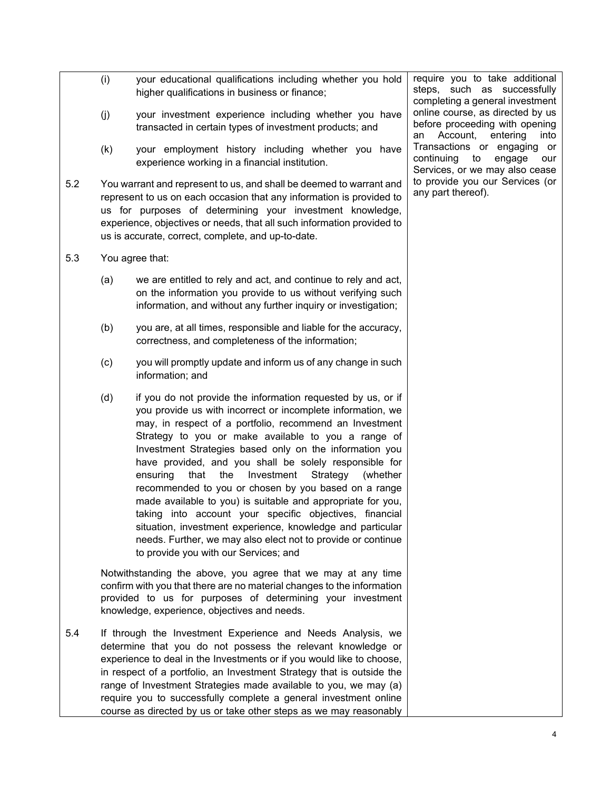- (i) your educational qualifications including whether you hold higher qualifications in business or finance;
- (j) your investment experience including whether you have transacted in certain types of investment products; and
- (k) your employment history including whether you have experience working in a financial institution.
- 5.2 You warrant and represent to us, and shall be deemed to warrant and represent to us on each occasion that any information is provided to us for purposes of determining your investment knowledge, experience, objectives or needs, that all such information provided to us is accurate, correct, complete, and up-to-date.
- 5.3 You agree that:
	- (a) we are entitled to rely and act, and continue to rely and act, on the information you provide to us without verifying such information, and without any further inquiry or investigation;
	- (b) you are, at all times, responsible and liable for the accuracy, correctness, and completeness of the information;
	- (c) you will promptly update and inform us of any change in such information; and
	- (d) if you do not provide the information requested by us, or if you provide us with incorrect or incomplete information, we may, in respect of a portfolio, recommend an Investment Strategy to you or make available to you a range of Investment Strategies based only on the information you have provided, and you shall be solely responsible for ensuring that the Investment Strategy (whether recommended to you or chosen by you based on a range made available to you) is suitable and appropriate for you, taking into account your specific objectives, financial situation, investment experience, knowledge and particular needs. Further, we may also elect not to provide or continue to provide you with our Services; and

Notwithstanding the above, you agree that we may at any time confirm with you that there are no material changes to the information provided to us for purposes of determining your investment knowledge, experience, objectives and needs.

5.4 If through the Investment Experience and Needs Analysis, we determine that you do not possess the relevant knowledge or experience to deal in the Investments or if you would like to choose, in respect of a portfolio, an Investment Strategy that is outside the range of Investment Strategies made available to you, we may (a) require you to successfully complete a general investment online course as directed by us or take other steps as we may reasonably

require you to take additional steps, such as successfully completing a general investment online course, as directed by us before proceeding with opening an Account, entering into Transactions or engaging or continuing to engage our Services, or we may also cease to provide you our Services (or any part thereof).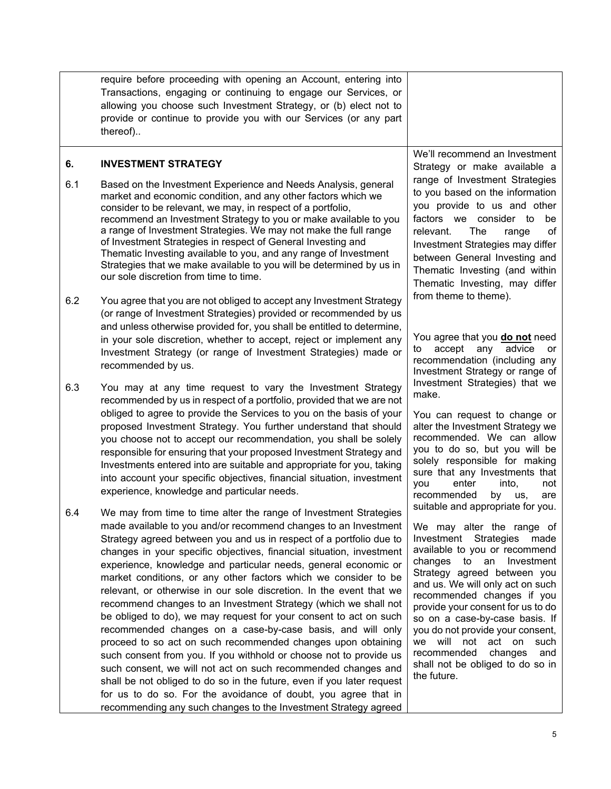<span id="page-6-0"></span>

|     | require before proceeding with opening an Account, entering into<br>Transactions, engaging or continuing to engage our Services, or<br>allowing you choose such Investment Strategy, or (b) elect not to<br>provide or continue to provide you with our Services (or any part<br>thereof)                                                                                                                                                                                                                                                                                                                                                                                                                                                                                                                                                                                                                                                                                                                                                                                                                                    |                                                                                                                                                                                                                                                                                                                                                                                                                                                                                               |
|-----|------------------------------------------------------------------------------------------------------------------------------------------------------------------------------------------------------------------------------------------------------------------------------------------------------------------------------------------------------------------------------------------------------------------------------------------------------------------------------------------------------------------------------------------------------------------------------------------------------------------------------------------------------------------------------------------------------------------------------------------------------------------------------------------------------------------------------------------------------------------------------------------------------------------------------------------------------------------------------------------------------------------------------------------------------------------------------------------------------------------------------|-----------------------------------------------------------------------------------------------------------------------------------------------------------------------------------------------------------------------------------------------------------------------------------------------------------------------------------------------------------------------------------------------------------------------------------------------------------------------------------------------|
| 6.  | <b>INVESTMENT STRATEGY</b>                                                                                                                                                                                                                                                                                                                                                                                                                                                                                                                                                                                                                                                                                                                                                                                                                                                                                                                                                                                                                                                                                                   | We'll recommend an Investment<br>Strategy or make available a                                                                                                                                                                                                                                                                                                                                                                                                                                 |
| 6.1 | Based on the Investment Experience and Needs Analysis, general<br>market and economic condition, and any other factors which we<br>consider to be relevant, we may, in respect of a portfolio,<br>recommend an Investment Strategy to you or make available to you<br>a range of Investment Strategies. We may not make the full range<br>of Investment Strategies in respect of General Investing and<br>Thematic Investing available to you, and any range of Investment<br>Strategies that we make available to you will be determined by us in<br>our sole discretion from time to time.                                                                                                                                                                                                                                                                                                                                                                                                                                                                                                                                 | range of Investment Strategies<br>to you based on the information<br>you provide to us and other<br>factors we consider to<br>be<br>The<br>relevant.<br>οf<br>range<br>Investment Strategies may differ<br>between General Investing and<br>Thematic Investing (and within<br>Thematic Investing, may differ                                                                                                                                                                                  |
| 6.2 | You agree that you are not obliged to accept any Investment Strategy<br>(or range of Investment Strategies) provided or recommended by us<br>and unless otherwise provided for, you shall be entitled to determine,<br>in your sole discretion, whether to accept, reject or implement any<br>Investment Strategy (or range of Investment Strategies) made or                                                                                                                                                                                                                                                                                                                                                                                                                                                                                                                                                                                                                                                                                                                                                                | from theme to theme).<br>You agree that you <b>do not</b> need<br>accept any advice<br>to<br>or                                                                                                                                                                                                                                                                                                                                                                                               |
|     | recommended by us.                                                                                                                                                                                                                                                                                                                                                                                                                                                                                                                                                                                                                                                                                                                                                                                                                                                                                                                                                                                                                                                                                                           | recommendation (including any<br>Investment Strategy or range of                                                                                                                                                                                                                                                                                                                                                                                                                              |
| 6.3 | You may at any time request to vary the Investment Strategy<br>recommended by us in respect of a portfolio, provided that we are not<br>obliged to agree to provide the Services to you on the basis of your<br>proposed Investment Strategy. You further understand that should<br>you choose not to accept our recommendation, you shall be solely<br>responsible for ensuring that your proposed Investment Strategy and<br>Investments entered into are suitable and appropriate for you, taking<br>into account your specific objectives, financial situation, investment<br>experience, knowledge and particular needs.                                                                                                                                                                                                                                                                                                                                                                                                                                                                                                | Investment Strategies) that we<br>make.<br>You can request to change or<br>alter the Investment Strategy we<br>recommended. We can allow<br>you to do so, but you will be<br>solely responsible for making<br>sure that any Investments that<br>enter<br>into,<br>you<br>not<br>recommended<br>by<br>us,<br>are                                                                                                                                                                               |
| 6.4 | We may from time to time alter the range of Investment Strategies<br>made available to you and/or recommend changes to an Investment<br>Strategy agreed between you and us in respect of a portfolio due to<br>changes in your specific objectives, financial situation, investment<br>experience, knowledge and particular needs, general economic or<br>market conditions, or any other factors which we consider to be<br>relevant, or otherwise in our sole discretion. In the event that we<br>recommend changes to an Investment Strategy (which we shall not<br>be obliged to do), we may request for your consent to act on such<br>recommended changes on a case-by-case basis, and will only<br>proceed to so act on such recommended changes upon obtaining<br>such consent from you. If you withhold or choose not to provide us<br>such consent, we will not act on such recommended changes and<br>shall be not obliged to do so in the future, even if you later request<br>for us to do so. For the avoidance of doubt, you agree that in<br>recommending any such changes to the Investment Strategy agreed | suitable and appropriate for you.<br>We may alter the range of<br>Investment Strategies<br>made<br>available to you or recommend<br>changes to an Investment<br>Strategy agreed between you<br>and us. We will only act on such<br>recommended changes if you<br>provide your consent for us to do<br>so on a case-by-case basis. If<br>you do not provide your consent,<br>we will not<br>act on<br>such<br>recommended<br>changes<br>and<br>shall not be obliged to do so in<br>the future. |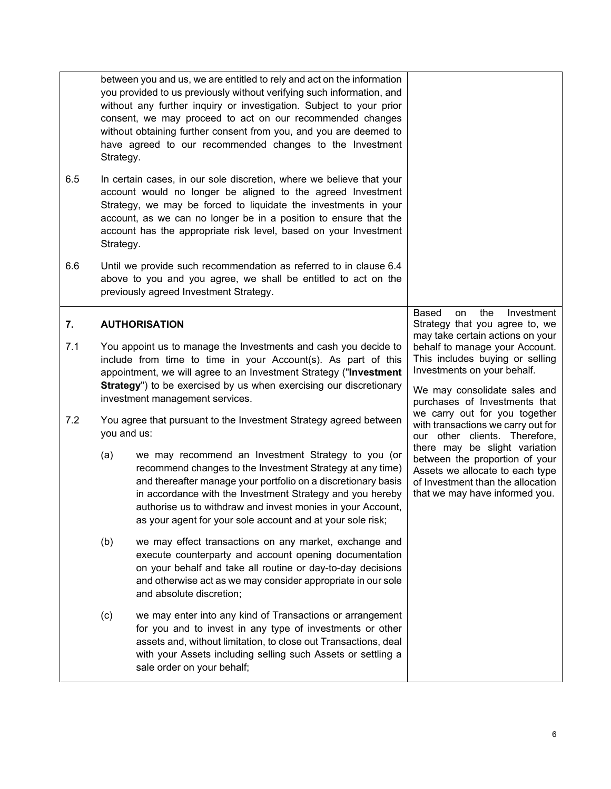<span id="page-7-0"></span>

| 6.5 | Strategy.                                                                                                                                                                  | between you and us, we are entitled to rely and act on the information<br>you provided to us previously without verifying such information, and<br>without any further inquiry or investigation. Subject to your prior<br>consent, we may proceed to act on our recommended changes<br>without obtaining further consent from you, and you are deemed to<br>have agreed to our recommended changes to the Investment<br>In certain cases, in our sole discretion, where we believe that your<br>account would no longer be aligned to the agreed Investment<br>Strategy, we may be forced to liquidate the investments in your |                                                                                                                                                                           |
|-----|----------------------------------------------------------------------------------------------------------------------------------------------------------------------------|--------------------------------------------------------------------------------------------------------------------------------------------------------------------------------------------------------------------------------------------------------------------------------------------------------------------------------------------------------------------------------------------------------------------------------------------------------------------------------------------------------------------------------------------------------------------------------------------------------------------------------|---------------------------------------------------------------------------------------------------------------------------------------------------------------------------|
|     | Strategy.                                                                                                                                                                  | account, as we can no longer be in a position to ensure that the<br>account has the appropriate risk level, based on your Investment                                                                                                                                                                                                                                                                                                                                                                                                                                                                                           |                                                                                                                                                                           |
| 6.6 |                                                                                                                                                                            | Until we provide such recommendation as referred to in clause 6.4<br>above to you and you agree, we shall be entitled to act on the<br>previously agreed Investment Strategy.                                                                                                                                                                                                                                                                                                                                                                                                                                                  |                                                                                                                                                                           |
| 7.  | <b>AUTHORISATION</b>                                                                                                                                                       |                                                                                                                                                                                                                                                                                                                                                                                                                                                                                                                                                                                                                                | Based<br>the<br>Investment<br>on<br>Strategy that you agree to, we<br>may take certain actions on your                                                                    |
| 7.1 |                                                                                                                                                                            | You appoint us to manage the Investments and cash you decide to<br>include from time to time in your Account(s). As part of this                                                                                                                                                                                                                                                                                                                                                                                                                                                                                               | behalf to manage your Account.<br>This includes buying or selling<br>Investments on your behalf.                                                                          |
|     | appointment, we will agree to an Investment Strategy ("Investment<br>Strategy") to be exercised by us when exercising our discretionary<br>investment management services. |                                                                                                                                                                                                                                                                                                                                                                                                                                                                                                                                                                                                                                | We may consolidate sales and<br>purchases of Investments that                                                                                                             |
| 7.2 | you and us:                                                                                                                                                                | You agree that pursuant to the Investment Strategy agreed between                                                                                                                                                                                                                                                                                                                                                                                                                                                                                                                                                              | we carry out for you together<br>with transactions we carry out for<br>our other clients. Therefore,                                                                      |
|     | (a)                                                                                                                                                                        | we may recommend an Investment Strategy to you (or<br>recommend changes to the Investment Strategy at any time)<br>and thereafter manage your portfolio on a discretionary basis<br>in accordance with the Investment Strategy and you hereby<br>authorise us to withdraw and invest monies in your Account,<br>as your agent for your sole account and at your sole risk;                                                                                                                                                                                                                                                     | there may be slight variation<br>between the proportion of your<br>Assets we allocate to each type<br>of Investment than the allocation<br>that we may have informed you. |
|     | (b)                                                                                                                                                                        | we may effect transactions on any market, exchange and<br>execute counterparty and account opening documentation<br>on your behalf and take all routine or day-to-day decisions<br>and otherwise act as we may consider appropriate in our sole<br>and absolute discretion;                                                                                                                                                                                                                                                                                                                                                    |                                                                                                                                                                           |
|     | (c)                                                                                                                                                                        | we may enter into any kind of Transactions or arrangement<br>for you and to invest in any type of investments or other<br>assets and, without limitation, to close out Transactions, deal<br>with your Assets including selling such Assets or settling a<br>sale order on your behalf;                                                                                                                                                                                                                                                                                                                                        |                                                                                                                                                                           |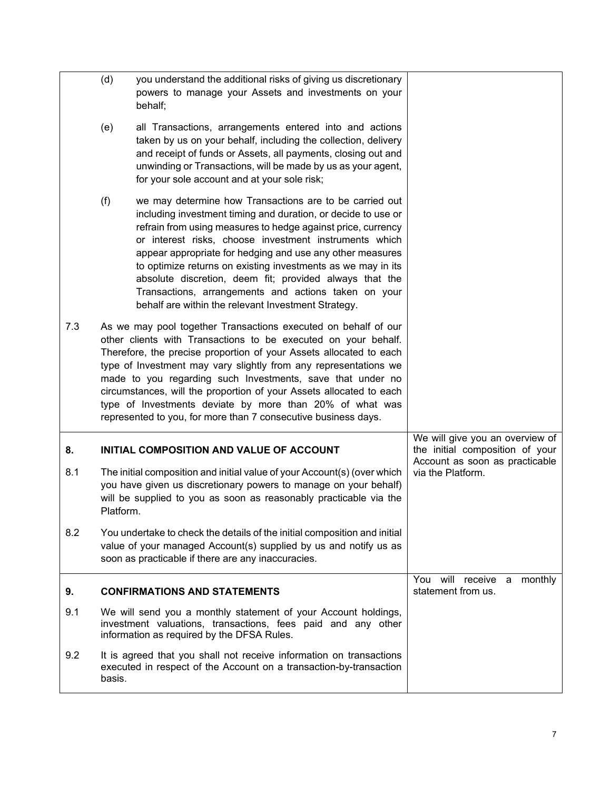<span id="page-8-1"></span><span id="page-8-0"></span>

|     | (d)                                                                                                                                                                                                                                                                                                                                                                                                                                                                                                                                           | you understand the additional risks of giving us discretionary<br>powers to manage your Assets and investments on your<br>behalf;                                                                                                                                                                                                                                                                                                                                                                                                                         |                                                                                                      |
|-----|-----------------------------------------------------------------------------------------------------------------------------------------------------------------------------------------------------------------------------------------------------------------------------------------------------------------------------------------------------------------------------------------------------------------------------------------------------------------------------------------------------------------------------------------------|-----------------------------------------------------------------------------------------------------------------------------------------------------------------------------------------------------------------------------------------------------------------------------------------------------------------------------------------------------------------------------------------------------------------------------------------------------------------------------------------------------------------------------------------------------------|------------------------------------------------------------------------------------------------------|
|     | (e)                                                                                                                                                                                                                                                                                                                                                                                                                                                                                                                                           | all Transactions, arrangements entered into and actions<br>taken by us on your behalf, including the collection, delivery<br>and receipt of funds or Assets, all payments, closing out and<br>unwinding or Transactions, will be made by us as your agent,<br>for your sole account and at your sole risk;                                                                                                                                                                                                                                                |                                                                                                      |
|     | (f)                                                                                                                                                                                                                                                                                                                                                                                                                                                                                                                                           | we may determine how Transactions are to be carried out<br>including investment timing and duration, or decide to use or<br>refrain from using measures to hedge against price, currency<br>or interest risks, choose investment instruments which<br>appear appropriate for hedging and use any other measures<br>to optimize returns on existing investments as we may in its<br>absolute discretion, deem fit; provided always that the<br>Transactions, arrangements and actions taken on your<br>behalf are within the relevant Investment Strategy. |                                                                                                      |
| 7.3 | As we may pool together Transactions executed on behalf of our<br>other clients with Transactions to be executed on your behalf.<br>Therefore, the precise proportion of your Assets allocated to each<br>type of Investment may vary slightly from any representations we<br>made to you regarding such Investments, save that under no<br>circumstances, will the proportion of your Assets allocated to each<br>type of Investments deviate by more than 20% of what was<br>represented to you, for more than 7 consecutive business days. |                                                                                                                                                                                                                                                                                                                                                                                                                                                                                                                                                           |                                                                                                      |
| 8.  | INITIAL COMPOSITION AND VALUE OF ACCOUNT                                                                                                                                                                                                                                                                                                                                                                                                                                                                                                      |                                                                                                                                                                                                                                                                                                                                                                                                                                                                                                                                                           | We will give you an overview of<br>the initial composition of your<br>Account as soon as practicable |
| 8.1 | Platform.                                                                                                                                                                                                                                                                                                                                                                                                                                                                                                                                     | The initial composition and initial value of your Account(s) (over which<br>you have given us discretionary powers to manage on your behalf)<br>will be supplied to you as soon as reasonably practicable via the                                                                                                                                                                                                                                                                                                                                         | via the Platform.                                                                                    |
| 8.2 |                                                                                                                                                                                                                                                                                                                                                                                                                                                                                                                                               | You undertake to check the details of the initial composition and initial<br>value of your managed Account(s) supplied by us and notify us as<br>soon as practicable if there are any inaccuracies.                                                                                                                                                                                                                                                                                                                                                       |                                                                                                      |
| 9.  |                                                                                                                                                                                                                                                                                                                                                                                                                                                                                                                                               | <b>CONFIRMATIONS AND STATEMENTS</b>                                                                                                                                                                                                                                                                                                                                                                                                                                                                                                                       | You will<br>receive a<br>monthly<br>statement from us.                                               |
| 9.1 |                                                                                                                                                                                                                                                                                                                                                                                                                                                                                                                                               | We will send you a monthly statement of your Account holdings,<br>investment valuations, transactions, fees paid and any other<br>information as required by the DFSA Rules.                                                                                                                                                                                                                                                                                                                                                                              |                                                                                                      |
| 9.2 | basis.                                                                                                                                                                                                                                                                                                                                                                                                                                                                                                                                        | It is agreed that you shall not receive information on transactions<br>executed in respect of the Account on a transaction-by-transaction                                                                                                                                                                                                                                                                                                                                                                                                                 |                                                                                                      |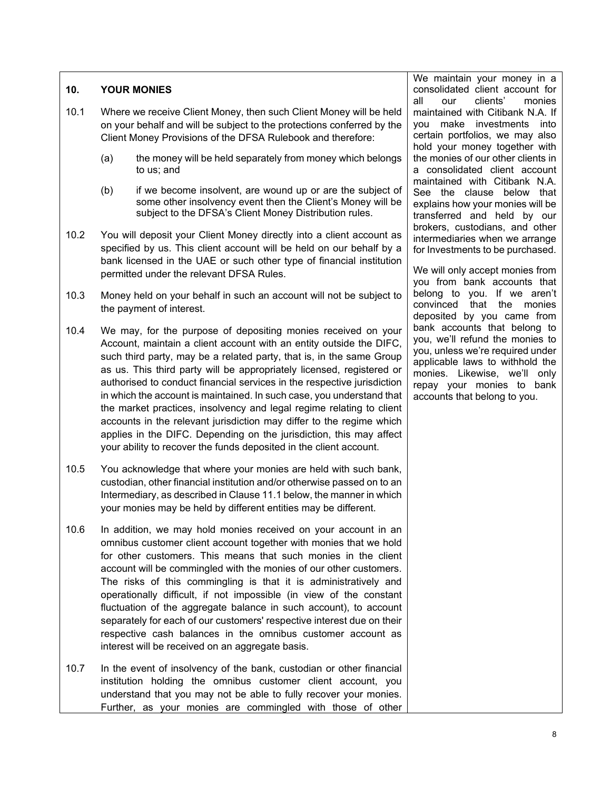#### <span id="page-9-0"></span>**10. YOUR MONIES**

- 10.1 Where we receive Client Money, then such Client Money will be held on your behalf and will be subject to the protections conferred by the Client Money Provisions of the DFSA Rulebook and therefore:
	- (a) the money will be held separately from money which belongs to us; and
	- (b) if we become insolvent, are wound up or are the subject of some other insolvency event then the Client's Money will be subject to the DFSA's Client Money Distribution rules.
- 10.2 You will deposit your Client Money directly into a client account as specified by us. This client account will be held on our behalf by a bank licensed in the UAE or such other type of financial institution permitted under the relevant DFSA Rules.
- 10.3 Money held on your behalf in such an account will not be subject to the payment of interest.
- 10.4 We may, for the purpose of depositing monies received on your Account, maintain a client account with an entity outside the DIFC, such third party, may be a related party, that is, in the same Group as us. This third party will be appropriately licensed, registered or authorised to conduct financial services in the respective jurisdiction in which the account is maintained. In such case, you understand that the market practices, insolvency and legal regime relating to client accounts in the relevant jurisdiction may differ to the regime which applies in the DIFC. Depending on the jurisdiction, this may affect your ability to recover the funds deposited in the client account.
- 10.5 You acknowledge that where your monies are held with such bank, custodian, other financial institution and/or otherwise passed on to an Intermediary, as described in Clause 11.1 below, the manner in which your monies may be held by different entities may be different.
- 10.6 In addition, we may hold monies received on your account in an omnibus customer client account together with monies that we hold for other customers. This means that such monies in the client account will be commingled with the monies of our other customers. The risks of this commingling is that it is administratively and operationally difficult, if not impossible (in view of the constant fluctuation of the aggregate balance in such account), to account separately for each of our customers' respective interest due on their respective cash balances in the omnibus customer account as interest will be received on an aggregate basis.
- 10.7 In the event of insolvency of the bank, custodian or other financial institution holding the omnibus customer client account, you understand that you may not be able to fully recover your monies. Further, as your monies are commingled with those of other

We maintain your money in a consolidated client account for all our clients' monies maintained with Citibank N.A. If you make investments into certain portfolios, we may also hold your money together with the monies of our other clients in a consolidated client account maintained with Citibank N.A. See the clause below that explains how your monies will be transferred and held by our brokers, custodians, and other intermediaries when we arrange for Investments to be purchased.

We will only accept monies from you from bank accounts that belong to you. If we aren't convinced that the monies deposited by you came from bank accounts that belong to you, we'll refund the monies to you, unless we're required under applicable laws to withhold the monies. Likewise, we'll only repay your monies to bank accounts that belong to you.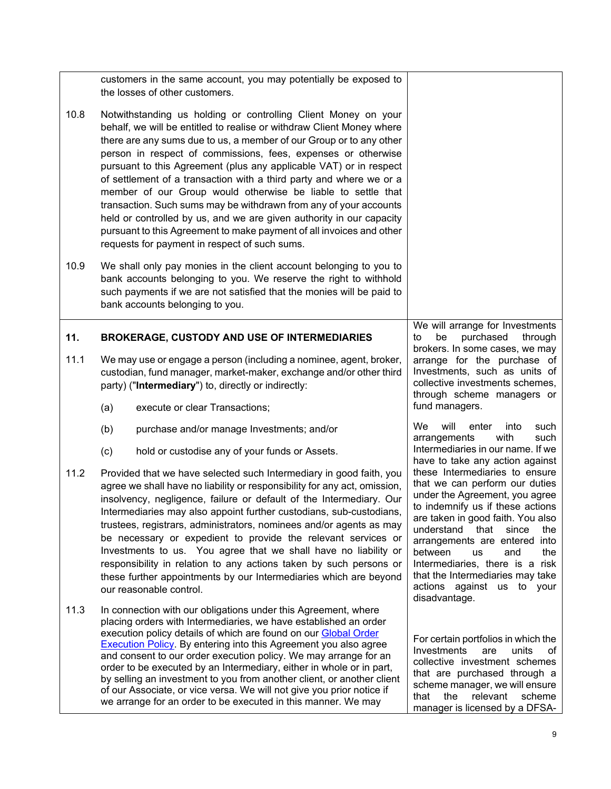<span id="page-10-0"></span>

|      | customers in the same account, you may potentially be exposed to<br>the losses of other customers.                                                                                                                                                                                                                                                                                                                                                                                                                                                                                                                                                                                                                                                                 |                                                                                                                                                                                                                                                                                                                                                                                                             |  |
|------|--------------------------------------------------------------------------------------------------------------------------------------------------------------------------------------------------------------------------------------------------------------------------------------------------------------------------------------------------------------------------------------------------------------------------------------------------------------------------------------------------------------------------------------------------------------------------------------------------------------------------------------------------------------------------------------------------------------------------------------------------------------------|-------------------------------------------------------------------------------------------------------------------------------------------------------------------------------------------------------------------------------------------------------------------------------------------------------------------------------------------------------------------------------------------------------------|--|
| 10.8 | Notwithstanding us holding or controlling Client Money on your<br>behalf, we will be entitled to realise or withdraw Client Money where<br>there are any sums due to us, a member of our Group or to any other<br>person in respect of commissions, fees, expenses or otherwise<br>pursuant to this Agreement (plus any applicable VAT) or in respect<br>of settlement of a transaction with a third party and where we or a<br>member of our Group would otherwise be liable to settle that<br>transaction. Such sums may be withdrawn from any of your accounts<br>held or controlled by us, and we are given authority in our capacity<br>pursuant to this Agreement to make payment of all invoices and other<br>requests for payment in respect of such sums. |                                                                                                                                                                                                                                                                                                                                                                                                             |  |
| 10.9 | We shall only pay monies in the client account belonging to you to<br>bank accounts belonging to you. We reserve the right to withhold<br>such payments if we are not satisfied that the monies will be paid to<br>bank accounts belonging to you.                                                                                                                                                                                                                                                                                                                                                                                                                                                                                                                 |                                                                                                                                                                                                                                                                                                                                                                                                             |  |
| 11.  | <b>BROKERAGE, CUSTODY AND USE OF INTERMEDIARIES</b>                                                                                                                                                                                                                                                                                                                                                                                                                                                                                                                                                                                                                                                                                                                | We will arrange for Investments<br>be<br>purchased<br>to<br>through<br>brokers. In some cases, we may                                                                                                                                                                                                                                                                                                       |  |
| 11.1 | We may use or engage a person (including a nominee, agent, broker,<br>custodian, fund manager, market-maker, exchange and/or other third<br>party) ("Intermediary") to, directly or indirectly:                                                                                                                                                                                                                                                                                                                                                                                                                                                                                                                                                                    | arrange for the purchase of<br>Investments, such as units of<br>collective investments schemes,<br>through scheme managers or                                                                                                                                                                                                                                                                               |  |
|      | execute or clear Transactions;<br>(a)                                                                                                                                                                                                                                                                                                                                                                                                                                                                                                                                                                                                                                                                                                                              | fund managers.                                                                                                                                                                                                                                                                                                                                                                                              |  |
|      | (b)<br>purchase and/or manage Investments; and/or                                                                                                                                                                                                                                                                                                                                                                                                                                                                                                                                                                                                                                                                                                                  | We<br>will<br>enter<br>such<br>into<br>with<br>such<br>arrangements                                                                                                                                                                                                                                                                                                                                         |  |
|      | hold or custodise any of your funds or Assets.<br>(c)                                                                                                                                                                                                                                                                                                                                                                                                                                                                                                                                                                                                                                                                                                              | Intermediaries in our name. If we<br>have to take any action against                                                                                                                                                                                                                                                                                                                                        |  |
| 11.2 | Provided that we have selected such Intermediary in good faith, you<br>agree we shall have no liability or responsibility for any act, omission,<br>insolvency, negligence, failure or default of the Intermediary. Our<br>Intermediaries may also appoint further custodians, sub-custodians,<br>trustees, registrars, administrators, nominees and/or agents as may<br>be necessary or expedient to provide the relevant services or<br>Investments to us. You agree that we shall have no liability or<br>responsibility in relation to any actions taken by such persons or<br>these further appointments by our Intermediaries which are beyond<br>our reasonable control.                                                                                    | these Intermediaries to ensure<br>that we can perform our duties<br>under the Agreement, you agree<br>to indemnify us if these actions<br>are taken in good faith. You also<br>understand that<br>since<br>the<br>arrangements are entered into<br>between<br><b>us</b><br>and<br>the<br>Intermediaries, there is a risk<br>that the Intermediaries may take<br>actions against us to your<br>disadvantage. |  |
| 11.3 | In connection with our obligations under this Agreement, where<br>placing orders with Intermediaries, we have established an order<br>execution policy details of which are found on our Global Order<br><b>Execution Policy.</b> By entering into this Agreement you also agree<br>and consent to our order execution policy. We may arrange for an<br>order to be executed by an Intermediary, either in whole or in part,<br>by selling an investment to you from another client, or another client<br>of our Associate, or vice versa. We will not give you prior notice if<br>we arrange for an order to be executed in this manner. We may                                                                                                                   | For certain portfolios in which the<br>Investments<br>are<br>units<br>of<br>collective investment schemes<br>that are purchased through a<br>scheme manager, we will ensure<br>the<br>relevant<br>scheme<br>that<br>manager is licensed by a DFSA-                                                                                                                                                          |  |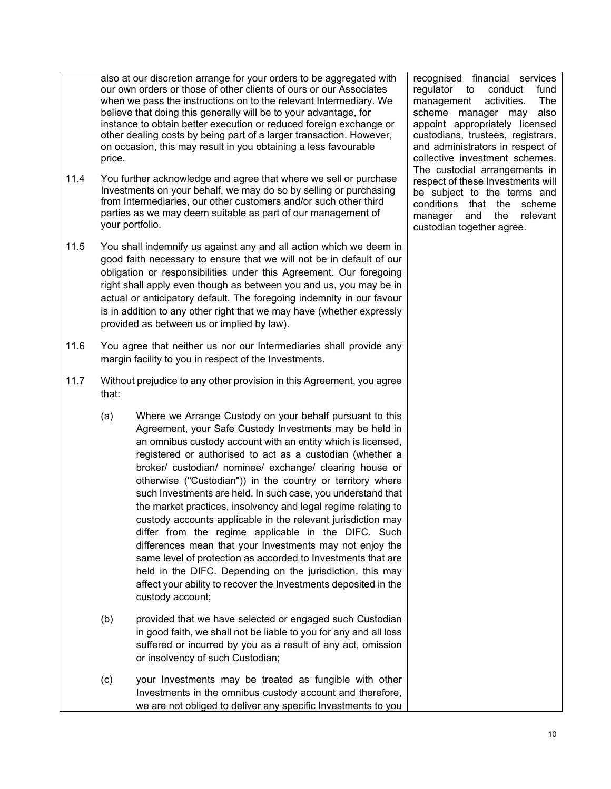also at our discretion arrange for your orders to be aggregated with our own orders or those of other clients of ours or our Associates when we pass the instructions on to the relevant Intermediary. We believe that doing this generally will be to your advantage, for instance to obtain better execution or reduced foreign exchange or other dealing costs by being part of a larger transaction. However, on occasion, this may result in you obtaining a less favourable price.

- 11.4 You further acknowledge and agree that where we sell or purchase Investments on your behalf, we may do so by selling or purchasing from Intermediaries, our other customers and/or such other third parties as we may deem suitable as part of our management of your portfolio.
- 11.5 You shall indemnify us against any and all action which we deem in good faith necessary to ensure that we will not be in default of our obligation or responsibilities under this Agreement. Our foregoing right shall apply even though as between you and us, you may be in actual or anticipatory default. The foregoing indemnity in our favour is in addition to any other right that we may have (whether expressly provided as between us or implied by law).
- 11.6 You agree that neither us nor our Intermediaries shall provide any margin facility to you in respect of the Investments.
- 11.7 Without prejudice to any other provision in this Agreement, you agree that:
	- (a) Where we Arrange Custody on your behalf pursuant to this Agreement, your Safe Custody Investments may be held in an omnibus custody account with an entity which is licensed, registered or authorised to act as a custodian (whether a broker/ custodian/ nominee/ exchange/ clearing house or otherwise ("Custodian")) in the country or territory where such Investments are held. In such case, you understand that the market practices, insolvency and legal regime relating to custody accounts applicable in the relevant jurisdiction may differ from the regime applicable in the DIFC. Such differences mean that your Investments may not enjoy the same level of protection as accorded to Investments that are held in the DIFC. Depending on the jurisdiction, this may affect your ability to recover the Investments deposited in the custody account;
	- (b) provided that we have selected or engaged such Custodian in good faith, we shall not be liable to you for any and all loss suffered or incurred by you as a result of any act, omission or insolvency of such Custodian;
	- (c) your Investments may be treated as fungible with other Investments in the omnibus custody account and therefore, we are not obliged to deliver any specific Investments to you

recognised financial services regulator to conduct fund management activities. The scheme manager may also appoint appropriately licensed custodians, trustees, registrars, and administrators in respect of collective investment schemes. The custodial arrangements in respect of these Investments will be subject to the terms and conditions that the scheme manager and the relevant custodian together agree.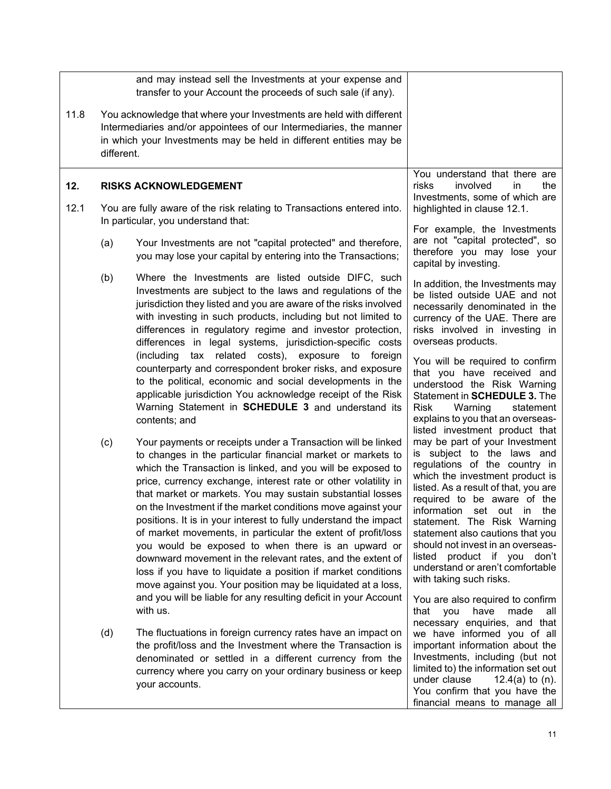<span id="page-12-0"></span>

|      |                                                                                                                                                                                                                               | and may instead sell the Investments at your expense and<br>transfer to your Account the proceeds of such sale (if any).                                                                                                                                                                                                                                                                                                                                                                                                                                                                                                                                                                                                                                                            |                                                                                                                                                                                                                                                                                                                                                                                                                                             |
|------|-------------------------------------------------------------------------------------------------------------------------------------------------------------------------------------------------------------------------------|-------------------------------------------------------------------------------------------------------------------------------------------------------------------------------------------------------------------------------------------------------------------------------------------------------------------------------------------------------------------------------------------------------------------------------------------------------------------------------------------------------------------------------------------------------------------------------------------------------------------------------------------------------------------------------------------------------------------------------------------------------------------------------------|---------------------------------------------------------------------------------------------------------------------------------------------------------------------------------------------------------------------------------------------------------------------------------------------------------------------------------------------------------------------------------------------------------------------------------------------|
| 11.8 | You acknowledge that where your Investments are held with different<br>Intermediaries and/or appointees of our Intermediaries, the manner<br>in which your Investments may be held in different entities may be<br>different. |                                                                                                                                                                                                                                                                                                                                                                                                                                                                                                                                                                                                                                                                                                                                                                                     |                                                                                                                                                                                                                                                                                                                                                                                                                                             |
| 12.  |                                                                                                                                                                                                                               | <b>RISKS ACKNOWLEDGEMENT</b>                                                                                                                                                                                                                                                                                                                                                                                                                                                                                                                                                                                                                                                                                                                                                        | You understand that there are<br>risks<br>involved<br>in<br>the<br>Investments, some of which are                                                                                                                                                                                                                                                                                                                                           |
| 12.1 |                                                                                                                                                                                                                               | You are fully aware of the risk relating to Transactions entered into.<br>In particular, you understand that:                                                                                                                                                                                                                                                                                                                                                                                                                                                                                                                                                                                                                                                                       | highlighted in clause 12.1.                                                                                                                                                                                                                                                                                                                                                                                                                 |
|      | (a)                                                                                                                                                                                                                           | Your Investments are not "capital protected" and therefore,<br>you may lose your capital by entering into the Transactions;                                                                                                                                                                                                                                                                                                                                                                                                                                                                                                                                                                                                                                                         | For example, the Investments<br>are not "capital protected", so<br>therefore you may lose your<br>capital by investing.                                                                                                                                                                                                                                                                                                                     |
|      | (b)                                                                                                                                                                                                                           | Where the Investments are listed outside DIFC, such<br>Investments are subject to the laws and regulations of the<br>jurisdiction they listed and you are aware of the risks involved<br>with investing in such products, including but not limited to<br>differences in regulatory regime and investor protection,<br>differences in legal systems, jurisdiction-specific costs<br>(including tax related costs), exposure to foreign                                                                                                                                                                                                                                                                                                                                              | In addition, the Investments may<br>be listed outside UAE and not<br>necessarily denominated in the<br>currency of the UAE. There are<br>risks involved in investing in<br>overseas products.<br>You will be required to confirm                                                                                                                                                                                                            |
|      |                                                                                                                                                                                                                               | counterparty and correspondent broker risks, and exposure<br>to the political, economic and social developments in the<br>applicable jurisdiction You acknowledge receipt of the Risk<br>Warning Statement in SCHEDULE 3 and understand its<br>contents; and                                                                                                                                                                                                                                                                                                                                                                                                                                                                                                                        | that you have received and<br>understood the Risk Warning<br>Statement in SCHEDULE 3. The<br>Risk<br>Warning<br>statement<br>explains to you that an overseas-<br>listed investment product that                                                                                                                                                                                                                                            |
|      | (c)                                                                                                                                                                                                                           | Your payments or receipts under a Transaction will be linked<br>to changes in the particular financial market or markets to<br>which the Transaction is linked, and you will be exposed to<br>price, currency exchange, interest rate or other volatility in<br>that market or markets. You may sustain substantial losses<br>on the Investment if the market conditions move against your<br>positions. It is in your interest to fully understand the impact<br>of market movements, in particular the extent of profit/loss<br>you would be exposed to when there is an upward or<br>downward movement in the relevant rates, and the extent of<br>loss if you have to liquidate a position if market conditions<br>move against you. Your position may be liquidated at a loss, | may be part of your Investment<br>is subject to the laws and<br>regulations of the country in<br>which the investment product is<br>listed. As a result of that, you are<br>required to be aware of the<br>information set out in the<br>statement. The Risk Warning<br>statement also cautions that you<br>should not invest in an overseas-<br>listed product if you don't<br>understand or aren't comfortable<br>with taking such risks. |
|      |                                                                                                                                                                                                                               | and you will be liable for any resulting deficit in your Account<br>with us.                                                                                                                                                                                                                                                                                                                                                                                                                                                                                                                                                                                                                                                                                                        | You are also required to confirm<br>you<br>have<br>made<br>that<br>all<br>necessary enquiries, and that                                                                                                                                                                                                                                                                                                                                     |
|      | (d)                                                                                                                                                                                                                           | The fluctuations in foreign currency rates have an impact on<br>the profit/loss and the Investment where the Transaction is<br>denominated or settled in a different currency from the<br>currency where you carry on your ordinary business or keep<br>your accounts.                                                                                                                                                                                                                                                                                                                                                                                                                                                                                                              | we have informed you of all<br>important information about the<br>Investments, including (but not<br>limited to) the information set out<br>under clause<br>12.4(a) to $(n)$ .<br>You confirm that you have the<br>financial means to manage all                                                                                                                                                                                            |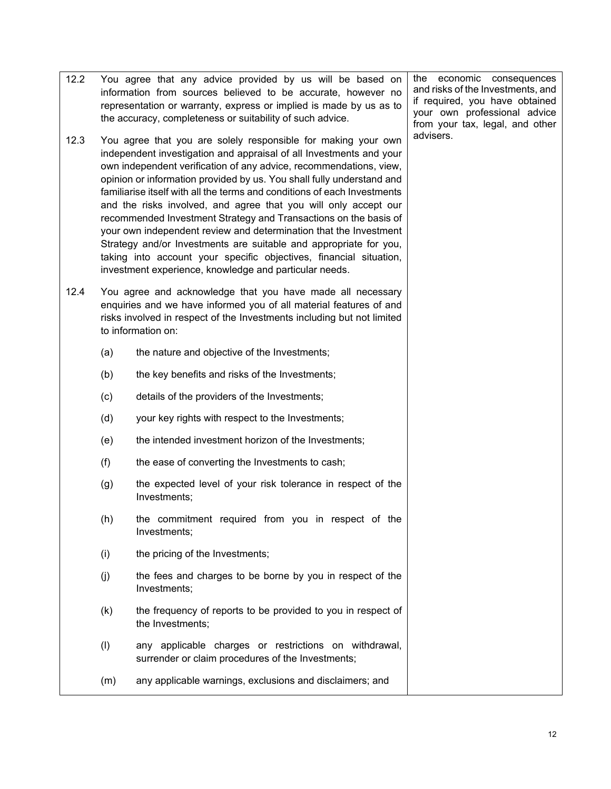information from sources believed to be accurate, however no representation or warranty, express or implied is made by us as to the accuracy, completeness or suitability of such advice. 12.3 You agree that you are solely responsible for making your own independent investigation and appraisal of all Investments and your own independent verification of any advice, recommendations, view, opinion or information provided by us. You shall fully understand and familiarise itself with all the terms and conditions of each Investments and the risks involved, and agree that you will only accept our recommended Investment Strategy and Transactions on the basis of your own independent review and determination that the Investment Strategy and/or Investments are suitable and appropriate for you, taking into account your specific objectives, financial situation, investment experience, knowledge and particular needs. 12.4 You agree and acknowledge that you have made all necessary enquiries and we have informed you of all material features of and risks involved in respect of the Investments including but not limited to information on: (a) the nature and objective of the Investments; (b) the key benefits and risks of the Investments; (c) details of the providers of the Investments; (d) your key rights with respect to the Investments; (e) the intended investment horizon of the Investments; (f) the ease of converting the Investments to cash; (g) the expected level of your risk tolerance in respect of the Investments; (h) the commitment required from you in respect of the Investments; (i) the pricing of the Investments; (j) the fees and charges to be borne by you in respect of the Investments; (k) the frequency of reports to be provided to you in respect of the Investments; (l) any applicable charges or restrictions on withdrawal, surrender or claim procedures of the Investments; (m) any applicable warnings, exclusions and disclaimers; and and risks of the Investments, and if required, you have obtained your own professional advice from your tax, legal, and other advisers.

12.2 You agree that any advice provided by us will be based on

the economic consequences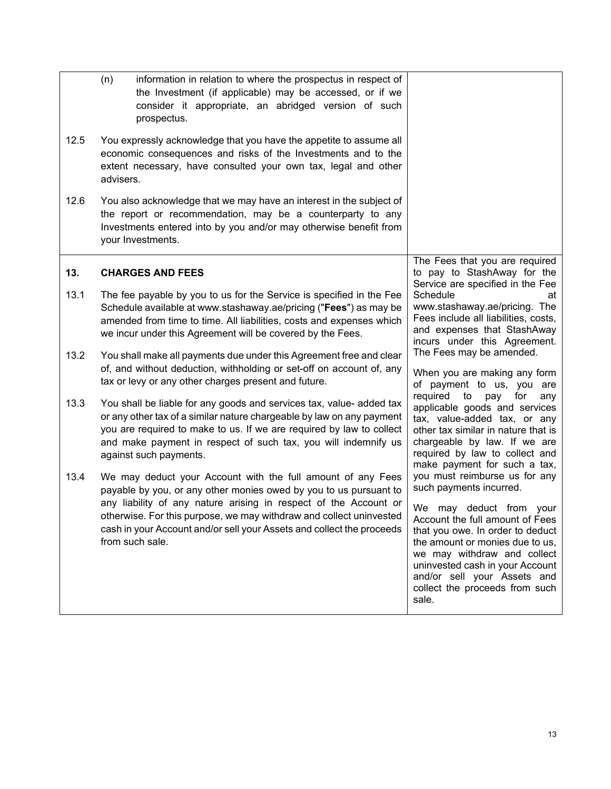<span id="page-14-0"></span>

|      | (n)<br>information in relation to where the prospectus in respect of<br>the Investment (if applicable) may be accessed, or if we<br>consider it appropriate, an abridged version of such<br>prospectus.                                                                                                                                                                 |                                                                                                                                                                                                                                                                                                                                               |
|------|-------------------------------------------------------------------------------------------------------------------------------------------------------------------------------------------------------------------------------------------------------------------------------------------------------------------------------------------------------------------------|-----------------------------------------------------------------------------------------------------------------------------------------------------------------------------------------------------------------------------------------------------------------------------------------------------------------------------------------------|
| 12.5 | You expressly acknowledge that you have the appetite to assume all<br>economic consequences and risks of the Investments and to the<br>extent necessary, have consulted your own tax, legal and other<br>advisers.                                                                                                                                                      |                                                                                                                                                                                                                                                                                                                                               |
| 12.6 | You also acknowledge that we may have an interest in the subject of<br>the report or recommendation, may be a counterparty to any<br>Investments entered into by you and/or may otherwise benefit from<br>your Investments.                                                                                                                                             |                                                                                                                                                                                                                                                                                                                                               |
| 13.  | <b>CHARGES AND FEES</b>                                                                                                                                                                                                                                                                                                                                                 | The Fees that you are required<br>to pay to StashAway for the<br>Service are specified in the Fee                                                                                                                                                                                                                                             |
| 13.1 | The fee payable by you to us for the Service is specified in the Fee<br>Schedule available at www.stashaway.ae/pricing ("Fees") as may be<br>amended from time to time. All liabilities, costs and expenses which<br>we incur under this Agreement will be covered by the Fees.                                                                                         | Schedule<br>at<br>www.stashaway.ae/pricing. The<br>Fees include all liabilities, costs,<br>and expenses that StashAway<br>incurs under this Agreement.                                                                                                                                                                                        |
| 13.2 | You shall make all payments due under this Agreement free and clear<br>of, and without deduction, withholding or set-off on account of, any<br>tax or levy or any other charges present and future.                                                                                                                                                                     | The Fees may be amended.<br>When you are making any form<br>of payment to us, you are                                                                                                                                                                                                                                                         |
| 13.3 | You shall be liable for any goods and services tax, value- added tax<br>or any other tax of a similar nature chargeable by law on any payment<br>you are required to make to us. If we are required by law to collect<br>and make payment in respect of such tax, you will indemnify us<br>against such payments.                                                       | required<br>to<br>pay<br>for<br>any<br>applicable goods and services<br>tax, value-added tax, or any<br>other tax similar in nature that is<br>chargeable by law. If we are<br>required by law to collect and<br>make payment for such a tax,                                                                                                 |
| 13.4 | We may deduct your Account with the full amount of any Fees<br>payable by you, or any other monies owed by you to us pursuant to<br>any liability of any nature arising in respect of the Account or<br>otherwise. For this purpose, we may withdraw and collect uninvested<br>cash in your Account and/or sell your Assets and collect the proceeds<br>from such sale. | you must reimburse us for any<br>such payments incurred.<br>may deduct from your<br>We.<br>Account the full amount of Fees<br>that you owe. In order to deduct<br>the amount or monies due to us,<br>we may withdraw and collect<br>uninvested cash in your Account<br>and/or sell your Assets and<br>collect the proceeds from such<br>sale. |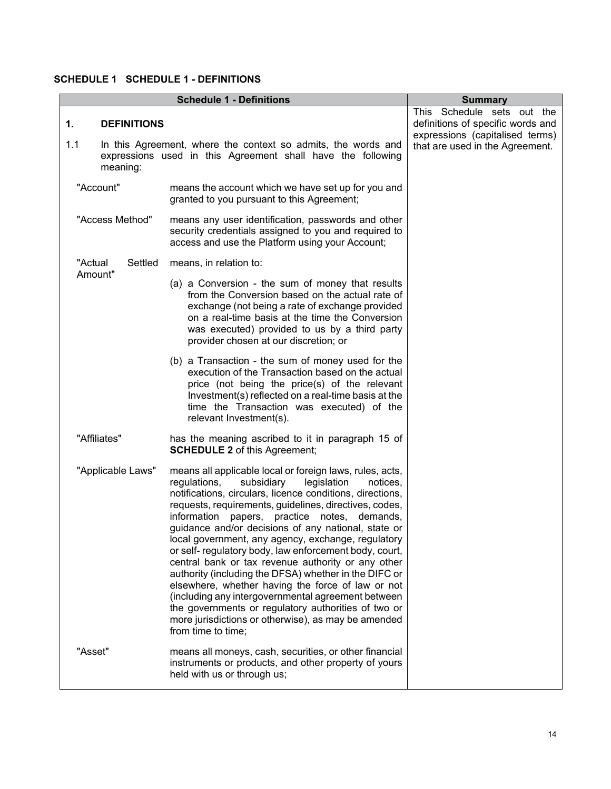## <span id="page-15-0"></span>**SCHEDULE 1 SCHEDULE 1 - DEFINITIONS**

<span id="page-15-1"></span>

|                                             | <b>Summary</b>                                                                                                                                                                                                                                                                                                                                                                                                                                                                                                                                                                                                                                                                                                                                                                                                                   |                                                                                                                                       |
|---------------------------------------------|----------------------------------------------------------------------------------------------------------------------------------------------------------------------------------------------------------------------------------------------------------------------------------------------------------------------------------------------------------------------------------------------------------------------------------------------------------------------------------------------------------------------------------------------------------------------------------------------------------------------------------------------------------------------------------------------------------------------------------------------------------------------------------------------------------------------------------|---------------------------------------------------------------------------------------------------------------------------------------|
| <b>DEFINITIONS</b><br>1.<br>1.1<br>meaning: | In this Agreement, where the context so admits, the words and<br>expressions used in this Agreement shall have the following                                                                                                                                                                                                                                                                                                                                                                                                                                                                                                                                                                                                                                                                                                     | This Schedule sets out the<br>definitions of specific words and<br>expressions (capitalised terms)<br>that are used in the Agreement. |
| "Account"                                   | means the account which we have set up for you and<br>granted to you pursuant to this Agreement;                                                                                                                                                                                                                                                                                                                                                                                                                                                                                                                                                                                                                                                                                                                                 |                                                                                                                                       |
| "Access Method"                             | means any user identification, passwords and other<br>security credentials assigned to you and required to<br>access and use the Platform using your Account;                                                                                                                                                                                                                                                                                                                                                                                                                                                                                                                                                                                                                                                                    |                                                                                                                                       |
| "Actual<br>Settled                          | means, in relation to:                                                                                                                                                                                                                                                                                                                                                                                                                                                                                                                                                                                                                                                                                                                                                                                                           |                                                                                                                                       |
| Amount"                                     | (a) a Conversion - the sum of money that results<br>from the Conversion based on the actual rate of<br>exchange (not being a rate of exchange provided<br>on a real-time basis at the time the Conversion<br>was executed) provided to us by a third party<br>provider chosen at our discretion; or                                                                                                                                                                                                                                                                                                                                                                                                                                                                                                                              |                                                                                                                                       |
|                                             | (b) a Transaction - the sum of money used for the<br>execution of the Transaction based on the actual<br>price (not being the price(s) of the relevant<br>Investment(s) reflected on a real-time basis at the<br>time the Transaction was executed) of the<br>relevant Investment(s).                                                                                                                                                                                                                                                                                                                                                                                                                                                                                                                                            |                                                                                                                                       |
| "Affiliates"                                | has the meaning ascribed to it in paragraph 15 of<br><b>SCHEDULE 2</b> of this Agreement;                                                                                                                                                                                                                                                                                                                                                                                                                                                                                                                                                                                                                                                                                                                                        |                                                                                                                                       |
| "Applicable Laws"                           | means all applicable local or foreign laws, rules, acts,<br>regulations,<br>subsidiary<br>legislation<br>notices,<br>notifications, circulars, licence conditions, directions,<br>requests, requirements, guidelines, directives, codes,<br>papers, practice notes, demands,<br>information<br>guidance and/or decisions of any national, state or<br>local government, any agency, exchange, regulatory<br>or self- regulatory body, law enforcement body, court,<br>central bank or tax revenue authority or any other<br>authority (including the DFSA) whether in the DIFC or<br>elsewhere, whether having the force of law or not<br>(including any intergovernmental agreement between<br>the governments or regulatory authorities of two or<br>more jurisdictions or otherwise), as may be amended<br>from time to time; |                                                                                                                                       |
| "Asset"                                     | means all moneys, cash, securities, or other financial<br>instruments or products, and other property of yours<br>held with us or through us;                                                                                                                                                                                                                                                                                                                                                                                                                                                                                                                                                                                                                                                                                    |                                                                                                                                       |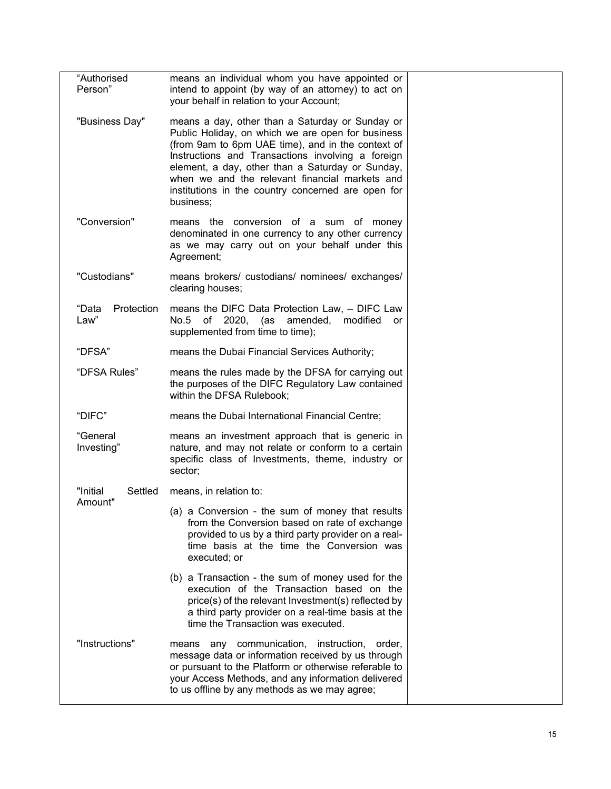| "Authorised<br>Person"      | means an individual whom you have appointed or<br>intend to appoint (by way of an attorney) to act on<br>your behalf in relation to your Account;                                                                                                                                                                                                                                       |  |
|-----------------------------|-----------------------------------------------------------------------------------------------------------------------------------------------------------------------------------------------------------------------------------------------------------------------------------------------------------------------------------------------------------------------------------------|--|
| "Business Day"              | means a day, other than a Saturday or Sunday or<br>Public Holiday, on which we are open for business<br>(from 9am to 6pm UAE time), and in the context of<br>Instructions and Transactions involving a foreign<br>element, a day, other than a Saturday or Sunday,<br>when we and the relevant financial markets and<br>institutions in the country concerned are open for<br>business; |  |
| "Conversion"                | means the conversion of a sum of money<br>denominated in one currency to any other currency<br>as we may carry out on your behalf under this<br>Agreement;                                                                                                                                                                                                                              |  |
| "Custodians"                | means brokers/ custodians/ nominees/ exchanges/<br>clearing houses;                                                                                                                                                                                                                                                                                                                     |  |
| "Data<br>Protection<br>Law" | means the DIFC Data Protection Law, - DIFC Law<br>No.5 of 2020, (as amended,<br>modified<br>or<br>supplemented from time to time);                                                                                                                                                                                                                                                      |  |
| "DFSA"                      | means the Dubai Financial Services Authority;                                                                                                                                                                                                                                                                                                                                           |  |
| "DFSA Rules"                | means the rules made by the DFSA for carrying out<br>the purposes of the DIFC Regulatory Law contained<br>within the DFSA Rulebook;                                                                                                                                                                                                                                                     |  |
| "DIFC"                      | means the Dubai International Financial Centre;                                                                                                                                                                                                                                                                                                                                         |  |
| "General<br>Investing"      | means an investment approach that is generic in<br>nature, and may not relate or conform to a certain<br>specific class of Investments, theme, industry or<br>sector;                                                                                                                                                                                                                   |  |
| "Initial<br>Settled         | means, in relation to:                                                                                                                                                                                                                                                                                                                                                                  |  |
| Amount"                     | (a) a Conversion - the sum of money that results<br>from the Conversion based on rate of exchange<br>provided to us by a third party provider on a real-<br>time basis at the time the Conversion was<br>executed; or                                                                                                                                                                   |  |
|                             | (b) a Transaction - the sum of money used for the<br>execution of the Transaction based on the<br>price(s) of the relevant Investment(s) reflected by<br>a third party provider on a real-time basis at the<br>time the Transaction was executed.                                                                                                                                       |  |
| "Instructions"              | means any communication, instruction, order,<br>message data or information received by us through<br>or pursuant to the Platform or otherwise referable to<br>your Access Methods, and any information delivered<br>to us offline by any methods as we may agree;                                                                                                                      |  |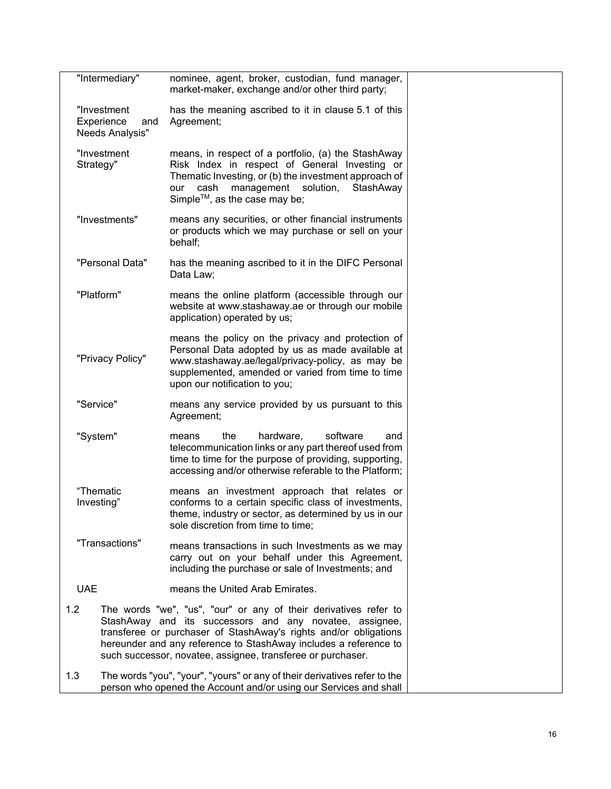|                                                     | "Intermediary"           | nominee, agent, broker, custodian, fund manager,<br>market-maker, exchange and/or other third party;                                                                                                                                                                                                                               |  |
|-----------------------------------------------------|--------------------------|------------------------------------------------------------------------------------------------------------------------------------------------------------------------------------------------------------------------------------------------------------------------------------------------------------------------------------|--|
| "Investment<br>Experience<br>and<br>Needs Analysis" |                          | has the meaning ascribed to it in clause 5.1 of this<br>Agreement;                                                                                                                                                                                                                                                                 |  |
|                                                     | "Investment<br>Strategy" | means, in respect of a portfolio, (a) the StashAway<br>Risk Index in respect of General Investing or<br>Thematic Investing, or (b) the investment approach of<br>management<br>solution,<br>StashAway<br>cash<br>our<br>Simple™, as the case may be;                                                                               |  |
|                                                     | "Investments"            | means any securities, or other financial instruments<br>or products which we may purchase or sell on your<br>behalf;                                                                                                                                                                                                               |  |
|                                                     | "Personal Data"          | has the meaning ascribed to it in the DIFC Personal<br>Data Law;                                                                                                                                                                                                                                                                   |  |
|                                                     | "Platform"               | means the online platform (accessible through our<br>website at www.stashaway.ae or through our mobile<br>application) operated by us;                                                                                                                                                                                             |  |
|                                                     | "Privacy Policy"         | means the policy on the privacy and protection of<br>Personal Data adopted by us as made available at<br>www.stashaway.ae/legal/privacy-policy, as may be<br>supplemented, amended or varied from time to time<br>upon our notification to you;                                                                                    |  |
|                                                     | "Service"                | means any service provided by us pursuant to this<br>Agreement;                                                                                                                                                                                                                                                                    |  |
|                                                     | "System"                 | hardware,<br>software<br>the<br>and<br>means<br>telecommunication links or any part thereof used from<br>time to time for the purpose of providing, supporting,<br>accessing and/or otherwise referable to the Platform;                                                                                                           |  |
|                                                     | "Thematic<br>Investing"  | means an investment approach that relates or<br>conforms to a certain specific class of investments,<br>theme, industry or sector, as determined by us in our<br>sole discretion from time to time;                                                                                                                                |  |
|                                                     | "Transactions"           | means transactions in such Investments as we may<br>carry out on your behalf under this Agreement,<br>including the purchase or sale of Investments; and                                                                                                                                                                           |  |
| <b>UAE</b>                                          |                          | means the United Arab Emirates.                                                                                                                                                                                                                                                                                                    |  |
| 1.2                                                 |                          | The words "we", "us", "our" or any of their derivatives refer to<br>StashAway and its successors and any novatee, assignee,<br>transferee or purchaser of StashAway's rights and/or obligations<br>hereunder and any reference to StashAway includes a reference to<br>such successor, novatee, assignee, transferee or purchaser. |  |
| 1.3                                                 |                          | The words "you", "your", "yours" or any of their derivatives refer to the<br>person who opened the Account and/or using our Services and shall                                                                                                                                                                                     |  |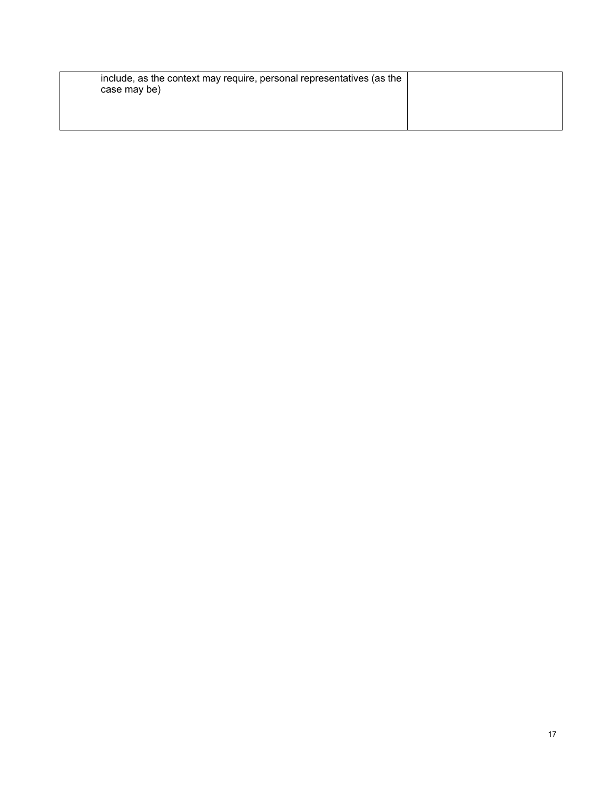| include, as the context may require, personal representatives (as the<br>case may be) |  |
|---------------------------------------------------------------------------------------|--|
|                                                                                       |  |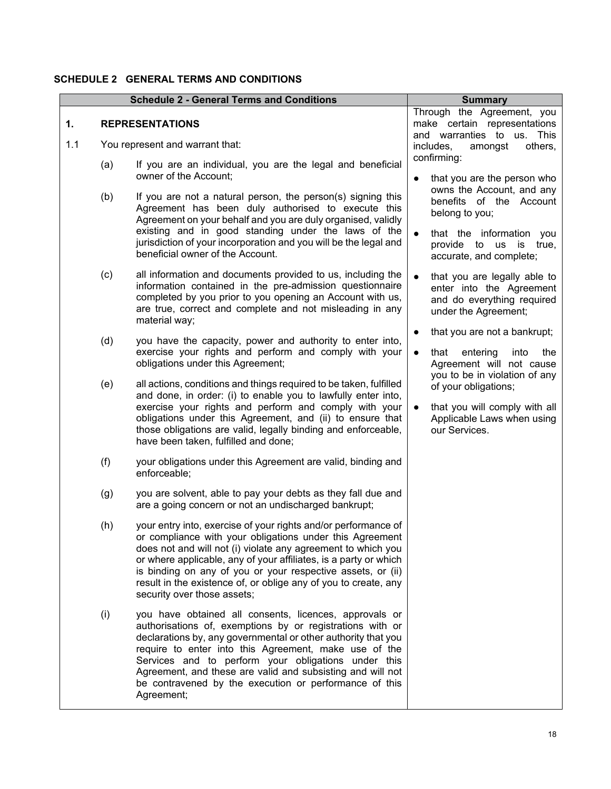### <span id="page-19-0"></span>**SCHEDULE 2 GENERAL TERMS AND CONDITIONS**

<span id="page-19-1"></span>

|           |     | <b>Schedule 2 - General Terms and Conditions</b>                                                                                                                                                                                                                                                                                                                                                                                           | <b>Summary</b>                                                                                                                                                                 |
|-----------|-----|--------------------------------------------------------------------------------------------------------------------------------------------------------------------------------------------------------------------------------------------------------------------------------------------------------------------------------------------------------------------------------------------------------------------------------------------|--------------------------------------------------------------------------------------------------------------------------------------------------------------------------------|
| 1.<br>1.1 |     | <b>REPRESENTATIONS</b><br>You represent and warrant that:                                                                                                                                                                                                                                                                                                                                                                                  | Through the Agreement, you<br>make certain representations<br>and warranties to us. This<br>includes,<br>amongst<br>others,                                                    |
|           | (a) | If you are an individual, you are the legal and beneficial                                                                                                                                                                                                                                                                                                                                                                                 | confirming:                                                                                                                                                                    |
|           | (b) | owner of the Account;<br>If you are not a natural person, the person(s) signing this<br>Agreement has been duly authorised to execute this<br>Agreement on your behalf and you are duly organised, validly<br>existing and in good standing under the laws of the<br>jurisdiction of your incorporation and you will be the legal and<br>beneficial owner of the Account.                                                                  | that you are the person who<br>$\bullet$<br>owns the Account, and any<br>benefits of the Account<br>belong to you;<br>that the information you<br>provide to us<br>is<br>true, |
|           | (c) | all information and documents provided to us, including the<br>information contained in the pre-admission questionnaire<br>completed by you prior to you opening an Account with us,<br>are true, correct and complete and not misleading in any<br>material way;                                                                                                                                                                          | accurate, and complete;<br>that you are legally able to<br>enter into the Agreement<br>and do everything required<br>under the Agreement;                                      |
|           | (d) | you have the capacity, power and authority to enter into,<br>exercise your rights and perform and comply with your<br>obligations under this Agreement;                                                                                                                                                                                                                                                                                    | that you are not a bankrupt;<br>$\bullet$<br>that<br>entering<br>into<br>the<br>$\bullet$<br>Agreement will not cause                                                          |
|           | (e) | all actions, conditions and things required to be taken, fulfilled<br>and done, in order: (i) to enable you to lawfully enter into,<br>exercise your rights and perform and comply with your<br>obligations under this Agreement, and (ii) to ensure that<br>those obligations are valid, legally binding and enforceable,<br>have been taken, fulfilled and done;                                                                         | you to be in violation of any<br>of your obligations;<br>that you will comply with all<br>Applicable Laws when using<br>our Services.                                          |
|           | (f) | your obligations under this Agreement are valid, binding and<br>enforceable;                                                                                                                                                                                                                                                                                                                                                               |                                                                                                                                                                                |
|           | (g) | you are solvent, able to pay your debts as they fall due and<br>are a going concern or not an undischarged bankrupt;                                                                                                                                                                                                                                                                                                                       |                                                                                                                                                                                |
|           | (h) | your entry into, exercise of your rights and/or performance of<br>or compliance with your obligations under this Agreement<br>does not and will not (i) violate any agreement to which you<br>or where applicable, any of your affiliates, is a party or which<br>is binding on any of you or your respective assets, or (ii)<br>result in the existence of, or oblige any of you to create, any<br>security over those assets;            |                                                                                                                                                                                |
|           | (i) | you have obtained all consents, licences, approvals or<br>authorisations of, exemptions by or registrations with or<br>declarations by, any governmental or other authority that you<br>require to enter into this Agreement, make use of the<br>Services and to perform your obligations under this<br>Agreement, and these are valid and subsisting and will not<br>be contravened by the execution or performance of this<br>Agreement; |                                                                                                                                                                                |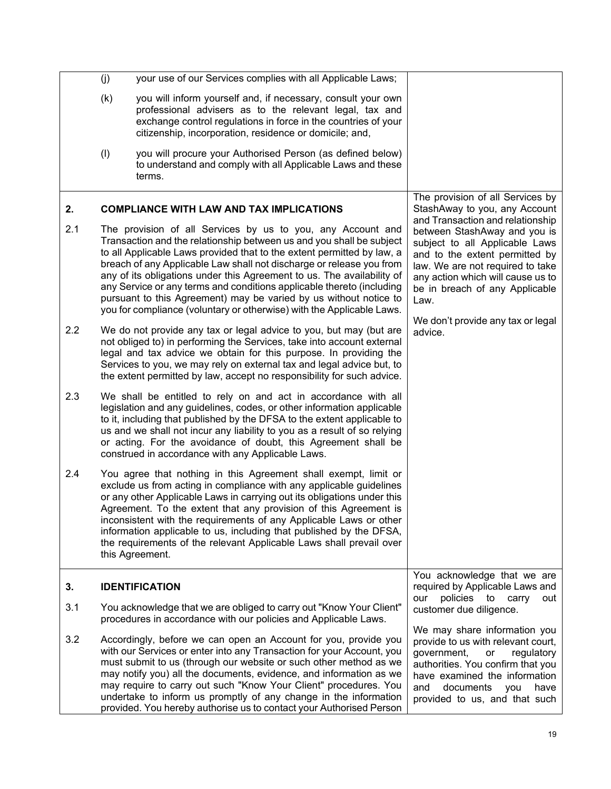<span id="page-20-1"></span><span id="page-20-0"></span>

|     | (j) | your use of our Services complies with all Applicable Laws;                                                                                                                                                                                                                                                                                                                                                                                                                                                                                                                            |                                                                                                                                                                                                                                                                                              |
|-----|-----|----------------------------------------------------------------------------------------------------------------------------------------------------------------------------------------------------------------------------------------------------------------------------------------------------------------------------------------------------------------------------------------------------------------------------------------------------------------------------------------------------------------------------------------------------------------------------------------|----------------------------------------------------------------------------------------------------------------------------------------------------------------------------------------------------------------------------------------------------------------------------------------------|
|     | (k) | you will inform yourself and, if necessary, consult your own<br>professional advisers as to the relevant legal, tax and<br>exchange control regulations in force in the countries of your<br>citizenship, incorporation, residence or domicile; and,                                                                                                                                                                                                                                                                                                                                   |                                                                                                                                                                                                                                                                                              |
|     | (1) | you will procure your Authorised Person (as defined below)<br>to understand and comply with all Applicable Laws and these<br>terms.                                                                                                                                                                                                                                                                                                                                                                                                                                                    |                                                                                                                                                                                                                                                                                              |
| 2.  |     | <b>COMPLIANCE WITH LAW AND TAX IMPLICATIONS</b>                                                                                                                                                                                                                                                                                                                                                                                                                                                                                                                                        | The provision of all Services by<br>StashAway to you, any Account                                                                                                                                                                                                                            |
| 2.1 |     | The provision of all Services by us to you, any Account and<br>Transaction and the relationship between us and you shall be subject<br>to all Applicable Laws provided that to the extent permitted by law, a<br>breach of any Applicable Law shall not discharge or release you from<br>any of its obligations under this Agreement to us. The availability of<br>any Service or any terms and conditions applicable thereto (including<br>pursuant to this Agreement) may be varied by us without notice to<br>you for compliance (voluntary or otherwise) with the Applicable Laws. | and Transaction and relationship<br>between StashAway and you is<br>subject to all Applicable Laws<br>and to the extent permitted by<br>law. We are not required to take<br>any action which will cause us to<br>be in breach of any Applicable<br>Law.<br>We don't provide any tax or legal |
| 2.2 |     | We do not provide any tax or legal advice to you, but may (but are<br>not obliged to) in performing the Services, take into account external<br>legal and tax advice we obtain for this purpose. In providing the<br>Services to you, we may rely on external tax and legal advice but, to<br>the extent permitted by law, accept no responsibility for such advice.                                                                                                                                                                                                                   | advice.                                                                                                                                                                                                                                                                                      |
| 2.3 |     | We shall be entitled to rely on and act in accordance with all<br>legislation and any guidelines, codes, or other information applicable<br>to it, including that published by the DFSA to the extent applicable to<br>us and we shall not incur any liability to you as a result of so relying<br>or acting. For the avoidance of doubt, this Agreement shall be<br>construed in accordance with any Applicable Laws.                                                                                                                                                                 |                                                                                                                                                                                                                                                                                              |
| 2.4 |     | You agree that nothing in this Agreement shall exempt, limit or<br>exclude us from acting in compliance with any applicable guidelines<br>or any other Applicable Laws in carrying out its obligations under this<br>Agreement. To the extent that any provision of this Agreement is<br>inconsistent with the requirements of any Applicable Laws or other<br>information applicable to us, including that published by the DFSA,<br>the requirements of the relevant Applicable Laws shall prevail over<br>this Agreement.                                                           |                                                                                                                                                                                                                                                                                              |
| 3.  |     | <b>IDENTIFICATION</b>                                                                                                                                                                                                                                                                                                                                                                                                                                                                                                                                                                  | You acknowledge that we are<br>required by Applicable Laws and                                                                                                                                                                                                                               |
| 3.1 |     | You acknowledge that we are obliged to carry out "Know Your Client"<br>procedures in accordance with our policies and Applicable Laws.                                                                                                                                                                                                                                                                                                                                                                                                                                                 | policies to carry<br>our<br>out<br>customer due diligence.                                                                                                                                                                                                                                   |
| 3.2 |     | Accordingly, before we can open an Account for you, provide you<br>with our Services or enter into any Transaction for your Account, you<br>must submit to us (through our website or such other method as we<br>may notify you) all the documents, evidence, and information as we<br>may require to carry out such "Know Your Client" procedures. You<br>undertake to inform us promptly of any change in the information<br>provided. You hereby authorise us to contact your Authorised Person                                                                                     | We may share information you<br>provide to us with relevant court,<br>government,<br>regulatory<br>or<br>authorities. You confirm that you<br>have examined the information<br>documents<br>and<br>have<br>you<br>provided to us, and that such                                              |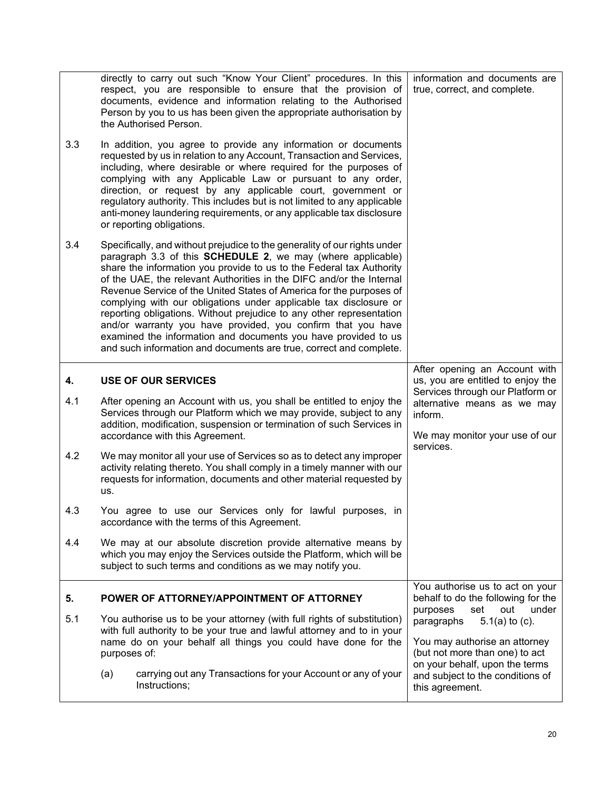<span id="page-21-1"></span><span id="page-21-0"></span>

|     | directly to carry out such "Know Your Client" procedures. In this<br>respect, you are responsible to ensure that the provision of<br>documents, evidence and information relating to the Authorised<br>Person by you to us has been given the appropriate authorisation by<br>the Authorised Person.                                                                                                                                                                                                                                                                                                                                                                                                                 | information and documents are<br>true, correct, and complete.                                                             |
|-----|----------------------------------------------------------------------------------------------------------------------------------------------------------------------------------------------------------------------------------------------------------------------------------------------------------------------------------------------------------------------------------------------------------------------------------------------------------------------------------------------------------------------------------------------------------------------------------------------------------------------------------------------------------------------------------------------------------------------|---------------------------------------------------------------------------------------------------------------------------|
| 3.3 | In addition, you agree to provide any information or documents<br>requested by us in relation to any Account, Transaction and Services,<br>including, where desirable or where required for the purposes of<br>complying with any Applicable Law or pursuant to any order,<br>direction, or request by any applicable court, government or<br>regulatory authority. This includes but is not limited to any applicable<br>anti-money laundering requirements, or any applicable tax disclosure<br>or reporting obligations.                                                                                                                                                                                          |                                                                                                                           |
| 3.4 | Specifically, and without prejudice to the generality of our rights under<br>paragraph 3.3 of this SCHEDULE 2, we may (where applicable)<br>share the information you provide to us to the Federal tax Authority<br>of the UAE, the relevant Authorities in the DIFC and/or the Internal<br>Revenue Service of the United States of America for the purposes of<br>complying with our obligations under applicable tax disclosure or<br>reporting obligations. Without prejudice to any other representation<br>and/or warranty you have provided, you confirm that you have<br>examined the information and documents you have provided to us<br>and such information and documents are true, correct and complete. |                                                                                                                           |
| 4.  | <b>USE OF OUR SERVICES</b>                                                                                                                                                                                                                                                                                                                                                                                                                                                                                                                                                                                                                                                                                           | After opening an Account with<br>us, you are entitled to enjoy the                                                        |
| 4.1 | After opening an Account with us, you shall be entitled to enjoy the<br>Services through our Platform which we may provide, subject to any<br>addition, modification, suspension or termination of such Services in<br>accordance with this Agreement.                                                                                                                                                                                                                                                                                                                                                                                                                                                               | Services through our Platform or<br>alternative means as we may<br>inform.<br>We may monitor your use of our<br>services. |
| 4.2 | We may monitor all your use of Services so as to detect any improper<br>activity relating thereto. You shall comply in a timely manner with our<br>requests for information, documents and other material requested by<br>us.                                                                                                                                                                                                                                                                                                                                                                                                                                                                                        |                                                                                                                           |
| 4.3 | You agree to use our Services only for lawful purposes, in<br>accordance with the terms of this Agreement.                                                                                                                                                                                                                                                                                                                                                                                                                                                                                                                                                                                                           |                                                                                                                           |
| 4.4 | We may at our absolute discretion provide alternative means by<br>which you may enjoy the Services outside the Platform, which will be<br>subject to such terms and conditions as we may notify you.                                                                                                                                                                                                                                                                                                                                                                                                                                                                                                                 |                                                                                                                           |
| 5.  | POWER OF ATTORNEY/APPOINTMENT OF ATTORNEY                                                                                                                                                                                                                                                                                                                                                                                                                                                                                                                                                                                                                                                                            | You authorise us to act on your<br>behalf to do the following for the                                                     |
| 5.1 | You authorise us to be your attorney (with full rights of substitution)<br>with full authority to be your true and lawful attorney and to in your                                                                                                                                                                                                                                                                                                                                                                                                                                                                                                                                                                    | purposes<br>set<br>out<br>under<br>paragraphs<br>$5.1(a)$ to (c).                                                         |
|     | name do on your behalf all things you could have done for the<br>purposes of:                                                                                                                                                                                                                                                                                                                                                                                                                                                                                                                                                                                                                                        | You may authorise an attorney<br>(but not more than one) to act                                                           |
|     | carrying out any Transactions for your Account or any of your<br>(a)<br>Instructions;                                                                                                                                                                                                                                                                                                                                                                                                                                                                                                                                                                                                                                | on your behalf, upon the terms<br>and subject to the conditions of<br>this agreement.                                     |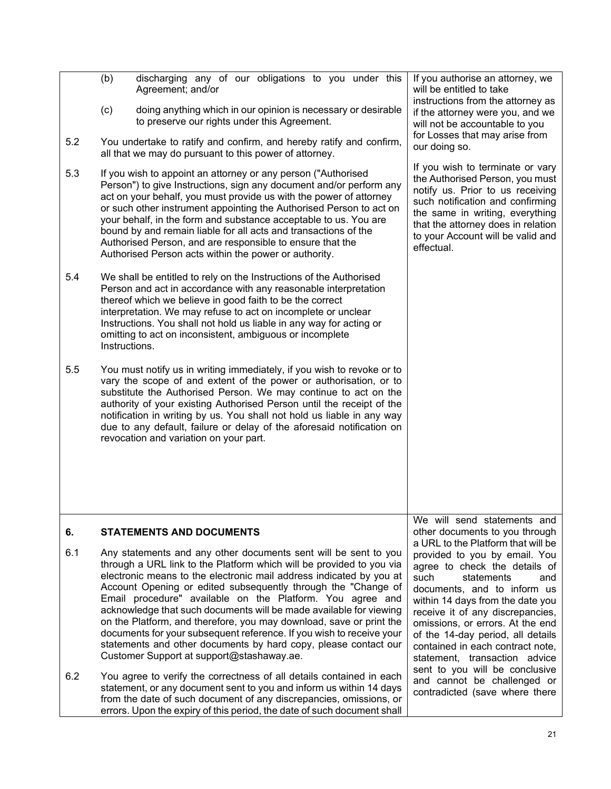<span id="page-22-0"></span>

|     | discharging any of our obligations to you under this<br>(b)<br>Agreement; and/or<br>(c)<br>doing anything which in our opinion is necessary or desirable<br>to preserve our rights under this Agreement.                                                                                                                                                                                                                                                                                                                                                                                                                                                                          | If you authorise an attorney, we<br>will be entitled to take<br>instructions from the attorney as<br>if the attorney were you, and we<br>will not be accountable to you                                                                                                                                                                                                            |
|-----|-----------------------------------------------------------------------------------------------------------------------------------------------------------------------------------------------------------------------------------------------------------------------------------------------------------------------------------------------------------------------------------------------------------------------------------------------------------------------------------------------------------------------------------------------------------------------------------------------------------------------------------------------------------------------------------|------------------------------------------------------------------------------------------------------------------------------------------------------------------------------------------------------------------------------------------------------------------------------------------------------------------------------------------------------------------------------------|
| 5.2 | You undertake to ratify and confirm, and hereby ratify and confirm,<br>all that we may do pursuant to this power of attorney.                                                                                                                                                                                                                                                                                                                                                                                                                                                                                                                                                     | for Losses that may arise from<br>our doing so.                                                                                                                                                                                                                                                                                                                                    |
| 5.3 | If you wish to appoint an attorney or any person ("Authorised"<br>Person") to give Instructions, sign any document and/or perform any<br>act on your behalf, you must provide us with the power of attorney<br>or such other instrument appointing the Authorised Person to act on<br>your behalf, in the form and substance acceptable to us. You are<br>bound by and remain liable for all acts and transactions of the<br>Authorised Person, and are responsible to ensure that the<br>Authorised Person acts within the power or authority.                                                                                                                                   | If you wish to terminate or vary<br>the Authorised Person, you must<br>notify us. Prior to us receiving<br>such notification and confirming<br>the same in writing, everything<br>that the attorney does in relation<br>to your Account will be valid and<br>effectual.                                                                                                            |
| 5.4 | We shall be entitled to rely on the Instructions of the Authorised<br>Person and act in accordance with any reasonable interpretation<br>thereof which we believe in good faith to be the correct<br>interpretation. We may refuse to act on incomplete or unclear<br>Instructions. You shall not hold us liable in any way for acting or<br>omitting to act on inconsistent, ambiguous or incomplete<br>Instructions.                                                                                                                                                                                                                                                            |                                                                                                                                                                                                                                                                                                                                                                                    |
| 5.5 | You must notify us in writing immediately, if you wish to revoke or to<br>vary the scope of and extent of the power or authorisation, or to<br>substitute the Authorised Person. We may continue to act on the<br>authority of your existing Authorised Person until the receipt of the<br>notification in writing by us. You shall not hold us liable in any way<br>due to any default, failure or delay of the aforesaid notification on<br>revocation and variation on your part.                                                                                                                                                                                              |                                                                                                                                                                                                                                                                                                                                                                                    |
| 6.  | <b>STATEMENTS AND DOCUMENTS</b>                                                                                                                                                                                                                                                                                                                                                                                                                                                                                                                                                                                                                                                   | We will send statements and<br>other documents to you through<br>a URL to the Platform that will be                                                                                                                                                                                                                                                                                |
| 6.1 | Any statements and any other documents sent will be sent to you<br>through a URL link to the Platform which will be provided to you via<br>electronic means to the electronic mail address indicated by you at<br>Account Opening or edited subsequently through the "Change of<br>Email procedure" available on the Platform. You agree and<br>acknowledge that such documents will be made available for viewing<br>on the Platform, and therefore, you may download, save or print the<br>documents for your subsequent reference. If you wish to receive your<br>statements and other documents by hard copy, please contact our<br>Customer Support at support@stashaway.ae. | provided to you by email. You<br>agree to check the details of<br>such<br>statements<br>and<br>documents, and to inform us<br>within 14 days from the date you<br>receive it of any discrepancies,<br>omissions, or errors. At the end<br>of the 14-day period, all details<br>contained in each contract note,<br>statement, transaction advice<br>sent to you will be conclusive |
| 6.2 | You agree to verify the correctness of all details contained in each<br>statement, or any document sent to you and inform us within 14 days<br>from the date of such document of any discrepancies, omissions, or<br>errors. Upon the expiry of this period, the date of such document shall                                                                                                                                                                                                                                                                                                                                                                                      | and cannot be challenged or<br>contradicted (save where there                                                                                                                                                                                                                                                                                                                      |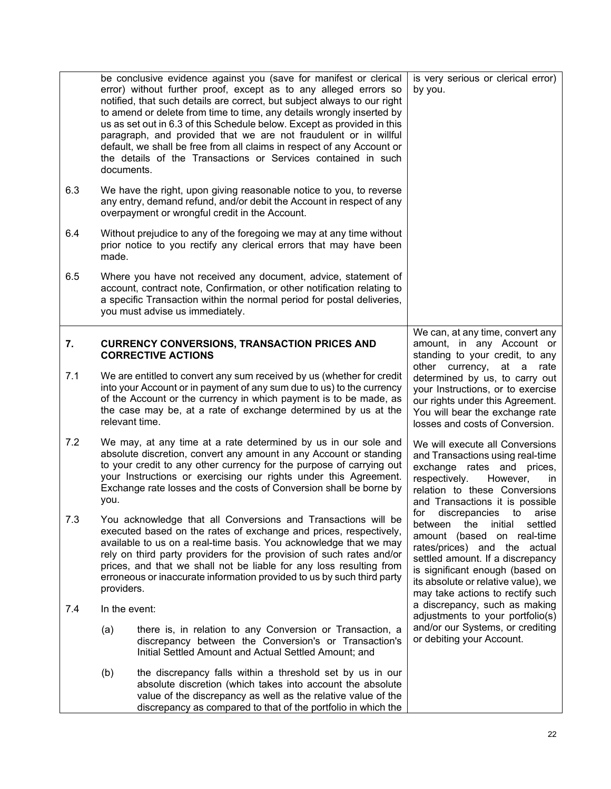<span id="page-23-0"></span>

|     | documents.    | be conclusive evidence against you (save for manifest or clerical<br>error) without further proof, except as to any alleged errors so<br>notified, that such details are correct, but subject always to our right<br>to amend or delete from time to time, any details wrongly inserted by<br>us as set out in 6.3 of this Schedule below. Except as provided in this<br>paragraph, and provided that we are not fraudulent or in willful<br>default, we shall be free from all claims in respect of any Account or<br>the details of the Transactions or Services contained in such | is very serious or clerical error)<br>by you.                                                                                                                                                                                                                                               |
|-----|---------------|--------------------------------------------------------------------------------------------------------------------------------------------------------------------------------------------------------------------------------------------------------------------------------------------------------------------------------------------------------------------------------------------------------------------------------------------------------------------------------------------------------------------------------------------------------------------------------------|---------------------------------------------------------------------------------------------------------------------------------------------------------------------------------------------------------------------------------------------------------------------------------------------|
| 6.3 |               | We have the right, upon giving reasonable notice to you, to reverse<br>any entry, demand refund, and/or debit the Account in respect of any<br>overpayment or wrongful credit in the Account.                                                                                                                                                                                                                                                                                                                                                                                        |                                                                                                                                                                                                                                                                                             |
| 6.4 | made.         | Without prejudice to any of the foregoing we may at any time without<br>prior notice to you rectify any clerical errors that may have been                                                                                                                                                                                                                                                                                                                                                                                                                                           |                                                                                                                                                                                                                                                                                             |
| 6.5 |               | Where you have not received any document, advice, statement of<br>account, contract note, Confirmation, or other notification relating to<br>a specific Transaction within the normal period for postal deliveries,<br>you must advise us immediately.                                                                                                                                                                                                                                                                                                                               |                                                                                                                                                                                                                                                                                             |
| 7.  |               | <b>CURRENCY CONVERSIONS, TRANSACTION PRICES AND</b><br><b>CORRECTIVE ACTIONS</b>                                                                                                                                                                                                                                                                                                                                                                                                                                                                                                     | We can, at any time, convert any<br>amount, in any Account or<br>standing to your credit, to any<br>other currency, at a rate                                                                                                                                                               |
| 7.1 |               | We are entitled to convert any sum received by us (whether for credit<br>into your Account or in payment of any sum due to us) to the currency<br>of the Account or the currency in which payment is to be made, as<br>the case may be, at a rate of exchange determined by us at the<br>relevant time.                                                                                                                                                                                                                                                                              | determined by us, to carry out<br>your Instructions, or to exercise<br>our rights under this Agreement.<br>You will bear the exchange rate<br>losses and costs of Conversion.                                                                                                               |
| 7.2 | you.          | We may, at any time at a rate determined by us in our sole and<br>absolute discretion, convert any amount in any Account or standing<br>to your credit to any other currency for the purpose of carrying out<br>your Instructions or exercising our rights under this Agreement.<br>Exchange rate losses and the costs of Conversion shall be borne by                                                                                                                                                                                                                               | We will execute all Conversions<br>and Transactions using real-time<br>exchange rates and prices,<br>respectively.<br>However,<br>ın<br>relation to these Conversions<br>and Transactions it is possible                                                                                    |
| 7.3 | providers.    | You acknowledge that all Conversions and Transactions will be<br>executed based on the rates of exchange and prices, respectively,<br>available to us on a real-time basis. You acknowledge that we may<br>rely on third party providers for the provision of such rates and/or<br>prices, and that we shall not be liable for any loss resulting from<br>erroneous or inaccurate information provided to us by such third party                                                                                                                                                     | for<br>discrepancies<br>to<br>arise<br>between<br>the<br>initial<br>settled<br>amount (based on real-time<br>rates/prices) and the actual<br>settled amount. If a discrepancy<br>is significant enough (based on<br>its absolute or relative value), we<br>may take actions to rectify such |
| 7.4 | In the event: |                                                                                                                                                                                                                                                                                                                                                                                                                                                                                                                                                                                      | a discrepancy, such as making<br>adjustments to your portfolio(s)                                                                                                                                                                                                                           |
|     | (a)           | there is, in relation to any Conversion or Transaction, a<br>discrepancy between the Conversion's or Transaction's<br>Initial Settled Amount and Actual Settled Amount; and                                                                                                                                                                                                                                                                                                                                                                                                          | and/or our Systems, or crediting<br>or debiting your Account.                                                                                                                                                                                                                               |
|     | (b)           | the discrepancy falls within a threshold set by us in our<br>absolute discretion (which takes into account the absolute<br>value of the discrepancy as well as the relative value of the<br>discrepancy as compared to that of the portfolio in which the                                                                                                                                                                                                                                                                                                                            |                                                                                                                                                                                                                                                                                             |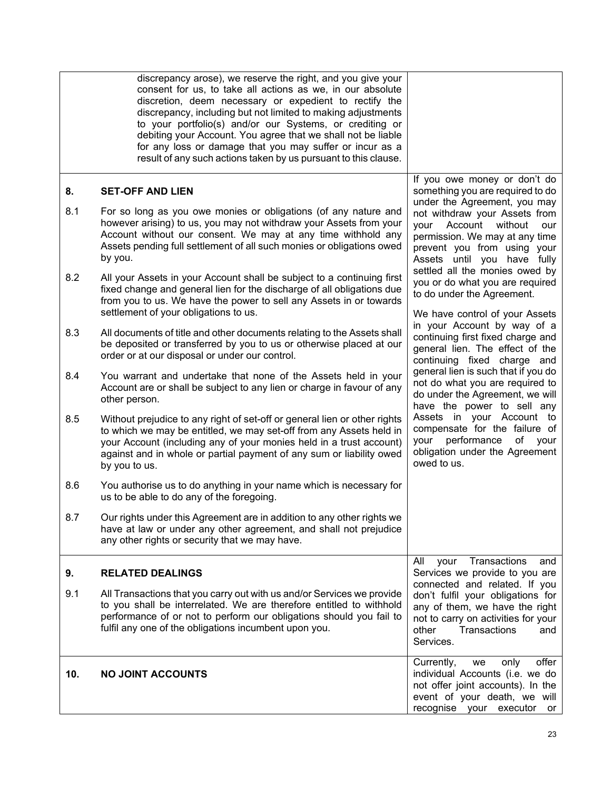<span id="page-24-2"></span><span id="page-24-1"></span><span id="page-24-0"></span>

|           | discrepancy arose), we reserve the right, and you give your<br>consent for us, to take all actions as we, in our absolute<br>discretion, deem necessary or expedient to rectify the<br>discrepancy, including but not limited to making adjustments<br>to your portfolio(s) and/or our Systems, or crediting or<br>debiting your Account. You agree that we shall not be liable<br>for any loss or damage that you may suffer or incur as a<br>result of any such actions taken by us pursuant to this clause. |                                                                                                                                                                                                                                                                        |
|-----------|----------------------------------------------------------------------------------------------------------------------------------------------------------------------------------------------------------------------------------------------------------------------------------------------------------------------------------------------------------------------------------------------------------------------------------------------------------------------------------------------------------------|------------------------------------------------------------------------------------------------------------------------------------------------------------------------------------------------------------------------------------------------------------------------|
| 8.<br>8.1 | <b>SET-OFF AND LIEN</b><br>For so long as you owe monies or obligations (of any nature and<br>however arising) to us, you may not withdraw your Assets from your<br>Account without our consent. We may at any time withhold any<br>Assets pending full settlement of all such monies or obligations owed<br>by you.                                                                                                                                                                                           | If you owe money or don't do<br>something you are required to do<br>under the Agreement, you may<br>not withdraw your Assets from<br>Account<br>without<br>your<br>our<br>permission. We may at any time<br>prevent you from using your<br>Assets until you have fully |
| 8.2       | All your Assets in your Account shall be subject to a continuing first<br>fixed change and general lien for the discharge of all obligations due<br>from you to us. We have the power to sell any Assets in or towards<br>settlement of your obligations to us.                                                                                                                                                                                                                                                | settled all the monies owed by<br>you or do what you are required<br>to do under the Agreement.<br>We have control of your Assets                                                                                                                                      |
| 8.3       | All documents of title and other documents relating to the Assets shall<br>be deposited or transferred by you to us or otherwise placed at our<br>order or at our disposal or under our control.                                                                                                                                                                                                                                                                                                               | in your Account by way of a<br>continuing first fixed charge and<br>general lien. The effect of the<br>continuing fixed charge and                                                                                                                                     |
| 8.4       | You warrant and undertake that none of the Assets held in your<br>Account are or shall be subject to any lien or charge in favour of any<br>other person.                                                                                                                                                                                                                                                                                                                                                      | general lien is such that if you do<br>not do what you are required to<br>do under the Agreement, we will<br>have the power to sell any                                                                                                                                |
| 8.5       | Without prejudice to any right of set-off or general lien or other rights<br>to which we may be entitled, we may set-off from any Assets held in<br>your Account (including any of your monies held in a trust account)<br>against and in whole or partial payment of any sum or liability owed<br>by you to us.                                                                                                                                                                                               | Assets in your Account to<br>compensate for the failure of<br>performance<br>of<br>your<br>your<br>obligation under the Agreement<br>owed to us.                                                                                                                       |
| 8.6       | You authorise us to do anything in your name which is necessary for<br>us to be able to do any of the foregoing.                                                                                                                                                                                                                                                                                                                                                                                               |                                                                                                                                                                                                                                                                        |
| 8.7       | Our rights under this Agreement are in addition to any other rights we<br>have at law or under any other agreement, and shall not prejudice<br>any other rights or security that we may have.                                                                                                                                                                                                                                                                                                                  |                                                                                                                                                                                                                                                                        |
| 9.        | <b>RELATED DEALINGS</b>                                                                                                                                                                                                                                                                                                                                                                                                                                                                                        | Transactions<br>All<br>your<br>and<br>Services we provide to you are                                                                                                                                                                                                   |
| 9.1       | All Transactions that you carry out with us and/or Services we provide<br>to you shall be interrelated. We are therefore entitled to withhold<br>performance of or not to perform our obligations should you fail to<br>fulfil any one of the obligations incumbent upon you.                                                                                                                                                                                                                                  | connected and related. If you<br>don't fulfil your obligations for<br>any of them, we have the right<br>not to carry on activities for your<br>Transactions<br>other<br>and<br>Services.                                                                               |
| 10.       | <b>NO JOINT ACCOUNTS</b>                                                                                                                                                                                                                                                                                                                                                                                                                                                                                       | offer<br>Currently,<br>only<br>we<br>individual Accounts (i.e. we do<br>not offer joint accounts). In the<br>event of your death, we will<br>recognise your executor<br>or                                                                                             |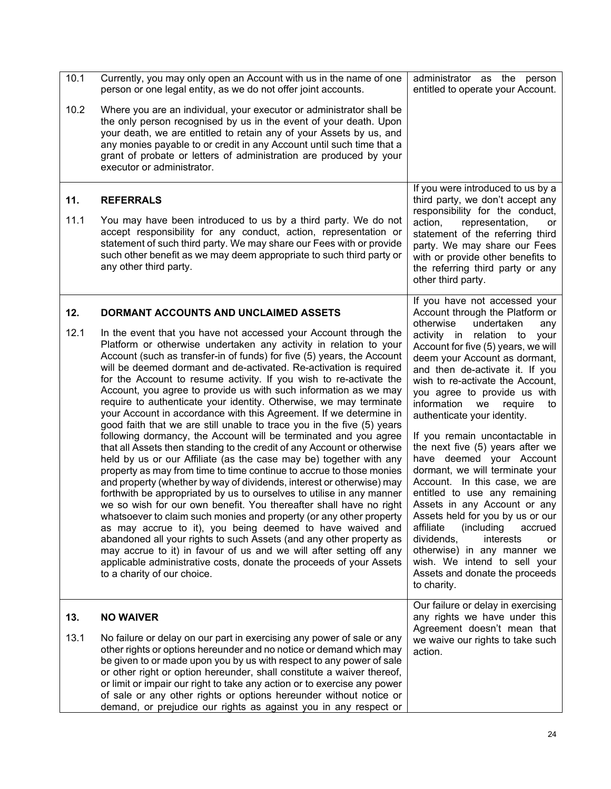<span id="page-25-2"></span><span id="page-25-1"></span><span id="page-25-0"></span>

| 10.1        | Currently, you may only open an Account with us in the name of one<br>person or one legal entity, as we do not offer joint accounts.                                                                                                                                                                                                                                                                                                                                                                                                                                                                                                                                                                                                                                                                                                                                                                                                                                                                                                                                                                                                                                                                                                                                                                                                                                                                                                                                                                                                                               | administrator as the person<br>entitled to operate your Account.                                                                                                                                                                                                                                                                                                                                                                                                                                                                                                                                                                                                                                                                                       |
|-------------|--------------------------------------------------------------------------------------------------------------------------------------------------------------------------------------------------------------------------------------------------------------------------------------------------------------------------------------------------------------------------------------------------------------------------------------------------------------------------------------------------------------------------------------------------------------------------------------------------------------------------------------------------------------------------------------------------------------------------------------------------------------------------------------------------------------------------------------------------------------------------------------------------------------------------------------------------------------------------------------------------------------------------------------------------------------------------------------------------------------------------------------------------------------------------------------------------------------------------------------------------------------------------------------------------------------------------------------------------------------------------------------------------------------------------------------------------------------------------------------------------------------------------------------------------------------------|--------------------------------------------------------------------------------------------------------------------------------------------------------------------------------------------------------------------------------------------------------------------------------------------------------------------------------------------------------------------------------------------------------------------------------------------------------------------------------------------------------------------------------------------------------------------------------------------------------------------------------------------------------------------------------------------------------------------------------------------------------|
| 10.2        | Where you are an individual, your executor or administrator shall be<br>the only person recognised by us in the event of your death. Upon<br>your death, we are entitled to retain any of your Assets by us, and<br>any monies payable to or credit in any Account until such time that a<br>grant of probate or letters of administration are produced by your<br>executor or administrator.                                                                                                                                                                                                                                                                                                                                                                                                                                                                                                                                                                                                                                                                                                                                                                                                                                                                                                                                                                                                                                                                                                                                                                      |                                                                                                                                                                                                                                                                                                                                                                                                                                                                                                                                                                                                                                                                                                                                                        |
| 11.<br>11.1 | <b>REFERRALS</b><br>You may have been introduced to us by a third party. We do not<br>accept responsibility for any conduct, action, representation or<br>statement of such third party. We may share our Fees with or provide<br>such other benefit as we may deem appropriate to such third party or<br>any other third party.                                                                                                                                                                                                                                                                                                                                                                                                                                                                                                                                                                                                                                                                                                                                                                                                                                                                                                                                                                                                                                                                                                                                                                                                                                   | If you were introduced to us by a<br>third party, we don't accept any<br>responsibility for the conduct,<br>action,<br>representation,<br>or<br>statement of the referring third<br>party. We may share our Fees<br>with or provide other benefits to<br>the referring third party or any<br>other third party.                                                                                                                                                                                                                                                                                                                                                                                                                                        |
| 12.         | DORMANT ACCOUNTS AND UNCLAIMED ASSETS                                                                                                                                                                                                                                                                                                                                                                                                                                                                                                                                                                                                                                                                                                                                                                                                                                                                                                                                                                                                                                                                                                                                                                                                                                                                                                                                                                                                                                                                                                                              | If you have not accessed your<br>Account through the Platform or<br>otherwise<br>undertaken<br>any                                                                                                                                                                                                                                                                                                                                                                                                                                                                                                                                                                                                                                                     |
| 12.1        | In the event that you have not accessed your Account through the<br>Platform or otherwise undertaken any activity in relation to your<br>Account (such as transfer-in of funds) for five (5) years, the Account<br>will be deemed dormant and de-activated. Re-activation is required<br>for the Account to resume activity. If you wish to re-activate the<br>Account, you agree to provide us with such information as we may<br>require to authenticate your identity. Otherwise, we may terminate<br>your Account in accordance with this Agreement. If we determine in<br>good faith that we are still unable to trace you in the five (5) years<br>following dormancy, the Account will be terminated and you agree<br>that all Assets then standing to the credit of any Account or otherwise<br>held by us or our Affiliate (as the case may be) together with any<br>property as may from time to time continue to accrue to those monies<br>and property (whether by way of dividends, interest or otherwise) may<br>forthwith be appropriated by us to ourselves to utilise in any manner<br>we so wish for our own benefit. You thereafter shall have no right<br>whatsoever to claim such monies and property (or any other property<br>as may accrue to it), you being deemed to have waived and<br>abandoned all your rights to such Assets (and any other property as<br>may accrue to it) in favour of us and we will after setting off any<br>applicable administrative costs, donate the proceeds of your Assets<br>to a charity of our choice. | activity in relation to<br>your<br>Account for five (5) years, we will<br>deem your Account as dormant,<br>and then de-activate it. If you<br>wish to re-activate the Account,<br>you agree to provide us with<br>information<br>we<br>require<br>to<br>authenticate your identity.<br>If you remain uncontactable in<br>the next five (5) years after we<br>have deemed your Account<br>dormant, we will terminate your<br>Account. In this case, we are<br>entitled to use any remaining<br>Assets in any Account or any<br>Assets held for you by us or our<br>affiliate<br>(including)<br>accrued<br>interests<br>dividends,<br>or<br>otherwise) in any manner we<br>wish. We intend to sell your<br>Assets and donate the proceeds<br>to charity. |
| 13.         | <b>NO WAIVER</b>                                                                                                                                                                                                                                                                                                                                                                                                                                                                                                                                                                                                                                                                                                                                                                                                                                                                                                                                                                                                                                                                                                                                                                                                                                                                                                                                                                                                                                                                                                                                                   | Our failure or delay in exercising<br>any rights we have under this                                                                                                                                                                                                                                                                                                                                                                                                                                                                                                                                                                                                                                                                                    |
| 13.1        | No failure or delay on our part in exercising any power of sale or any<br>other rights or options hereunder and no notice or demand which may<br>be given to or made upon you by us with respect to any power of sale<br>or other right or option hereunder, shall constitute a waiver thereof,<br>or limit or impair our right to take any action or to exercise any power<br>of sale or any other rights or options hereunder without notice or<br>demand, or prejudice our rights as against you in any respect or                                                                                                                                                                                                                                                                                                                                                                                                                                                                                                                                                                                                                                                                                                                                                                                                                                                                                                                                                                                                                                              | Agreement doesn't mean that<br>we waive our rights to take such<br>action.                                                                                                                                                                                                                                                                                                                                                                                                                                                                                                                                                                                                                                                                             |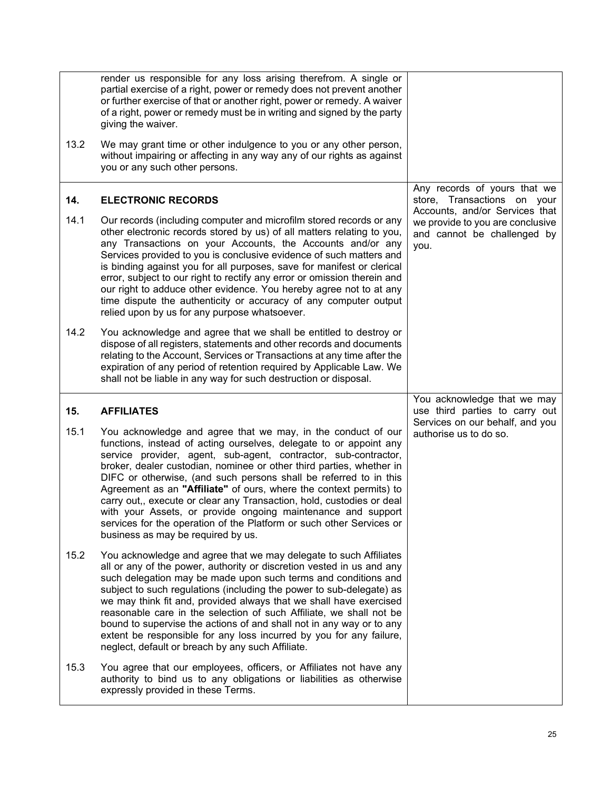<span id="page-26-1"></span><span id="page-26-0"></span>

|      | render us responsible for any loss arising therefrom. A single or<br>partial exercise of a right, power or remedy does not prevent another<br>or further exercise of that or another right, power or remedy. A waiver<br>of a right, power or remedy must be in writing and signed by the party<br>giving the waiver.                                                                                                                                                                                                                                                                                                                                                           |                                                                                                           |
|------|---------------------------------------------------------------------------------------------------------------------------------------------------------------------------------------------------------------------------------------------------------------------------------------------------------------------------------------------------------------------------------------------------------------------------------------------------------------------------------------------------------------------------------------------------------------------------------------------------------------------------------------------------------------------------------|-----------------------------------------------------------------------------------------------------------|
| 13.2 | We may grant time or other indulgence to you or any other person,<br>without impairing or affecting in any way any of our rights as against<br>you or any such other persons.                                                                                                                                                                                                                                                                                                                                                                                                                                                                                                   |                                                                                                           |
| 14.  | <b>ELECTRONIC RECORDS</b>                                                                                                                                                                                                                                                                                                                                                                                                                                                                                                                                                                                                                                                       | Any records of yours that we<br>store, Transactions on your                                               |
| 14.1 | Our records (including computer and microfilm stored records or any<br>other electronic records stored by us) of all matters relating to you,<br>any Transactions on your Accounts, the Accounts and/or any<br>Services provided to you is conclusive evidence of such matters and<br>is binding against you for all purposes, save for manifest or clerical<br>error, subject to our right to rectify any error or omission therein and<br>our right to adduce other evidence. You hereby agree not to at any<br>time dispute the authenticity or accuracy of any computer output<br>relied upon by us for any purpose whatsoever.                                             | Accounts, and/or Services that<br>we provide to you are conclusive<br>and cannot be challenged by<br>you. |
| 14.2 | You acknowledge and agree that we shall be entitled to destroy or<br>dispose of all registers, statements and other records and documents<br>relating to the Account, Services or Transactions at any time after the<br>expiration of any period of retention required by Applicable Law. We<br>shall not be liable in any way for such destruction or disposal.                                                                                                                                                                                                                                                                                                                |                                                                                                           |
|      |                                                                                                                                                                                                                                                                                                                                                                                                                                                                                                                                                                                                                                                                                 |                                                                                                           |
| 15.  | <b>AFFILIATES</b>                                                                                                                                                                                                                                                                                                                                                                                                                                                                                                                                                                                                                                                               | You acknowledge that we may<br>use third parties to carry out                                             |
| 15.1 | You acknowledge and agree that we may, in the conduct of our<br>functions, instead of acting ourselves, delegate to or appoint any<br>service provider, agent, sub-agent, contractor, sub-contractor,<br>broker, dealer custodian, nominee or other third parties, whether in<br>DIFC or otherwise, (and such persons shall be referred to in this<br>Agreement as an "Affiliate" of ours, where the context permits) to<br>carry out,, execute or clear any Transaction, hold, custodies or deal<br>with your Assets, or provide ongoing maintenance and support<br>services for the operation of the Platform or such other Services or<br>business as may be required by us. | Services on our behalf, and you<br>authorise us to do so.                                                 |
| 15.2 | You acknowledge and agree that we may delegate to such Affiliates<br>all or any of the power, authority or discretion vested in us and any<br>such delegation may be made upon such terms and conditions and<br>subject to such regulations (including the power to sub-delegate) as<br>we may think fit and, provided always that we shall have exercised<br>reasonable care in the selection of such Affiliate, we shall not be<br>bound to supervise the actions of and shall not in any way or to any<br>extent be responsible for any loss incurred by you for any failure,<br>neglect, default or breach by any such Affiliate.                                           |                                                                                                           |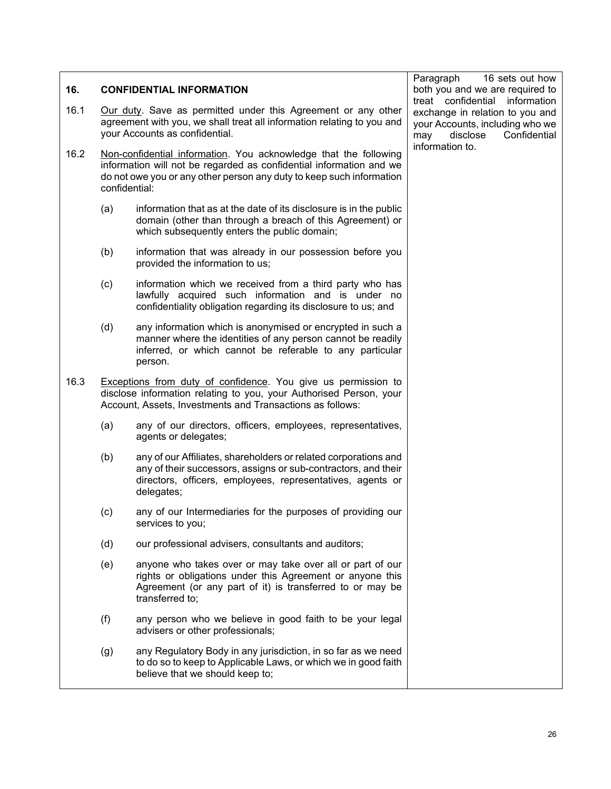<span id="page-27-0"></span>

| 16.  | <b>CONFIDENTIAL INFORMATION</b>                                                                                                                                                                                                  |                                                                                                                                                                                                               | 16 sets out how<br>Paragraph<br>both you and we are required to<br>treat confidential information     |  |
|------|----------------------------------------------------------------------------------------------------------------------------------------------------------------------------------------------------------------------------------|---------------------------------------------------------------------------------------------------------------------------------------------------------------------------------------------------------------|-------------------------------------------------------------------------------------------------------|--|
| 16.1 | Our duty. Save as permitted under this Agreement or any other<br>agreement with you, we shall treat all information relating to you and<br>your Accounts as confidential.                                                        |                                                                                                                                                                                                               | exchange in relation to you and<br>your Accounts, including who we<br>disclose<br>Confidential<br>may |  |
| 16.2 | Non-confidential information. You acknowledge that the following<br>information will not be regarded as confidential information and we<br>do not owe you or any other person any duty to keep such information<br>confidential: |                                                                                                                                                                                                               | information to.                                                                                       |  |
|      | (a)                                                                                                                                                                                                                              | information that as at the date of its disclosure is in the public<br>domain (other than through a breach of this Agreement) or<br>which subsequently enters the public domain;                               |                                                                                                       |  |
|      | (b)                                                                                                                                                                                                                              | information that was already in our possession before you<br>provided the information to us;                                                                                                                  |                                                                                                       |  |
|      | (c)                                                                                                                                                                                                                              | information which we received from a third party who has<br>lawfully acquired such information and is under no<br>confidentiality obligation regarding its disclosure to us; and                              |                                                                                                       |  |
|      | (d)                                                                                                                                                                                                                              | any information which is anonymised or encrypted in such a<br>manner where the identities of any person cannot be readily<br>inferred, or which cannot be referable to any particular<br>person.              |                                                                                                       |  |
| 16.3 |                                                                                                                                                                                                                                  | Exceptions from duty of confidence. You give us permission to<br>disclose information relating to you, your Authorised Person, your<br>Account, Assets, Investments and Transactions as follows:              |                                                                                                       |  |
|      | (a)                                                                                                                                                                                                                              | any of our directors, officers, employees, representatives,<br>agents or delegates;                                                                                                                           |                                                                                                       |  |
|      | (b)                                                                                                                                                                                                                              | any of our Affiliates, shareholders or related corporations and<br>any of their successors, assigns or sub-contractors, and their<br>directors, officers, employees, representatives, agents or<br>delegates; |                                                                                                       |  |
|      | (c)                                                                                                                                                                                                                              | any of our Intermediaries for the purposes of providing our<br>services to you;                                                                                                                               |                                                                                                       |  |
|      | (d)                                                                                                                                                                                                                              | our professional advisers, consultants and auditors;                                                                                                                                                          |                                                                                                       |  |
|      | (e)                                                                                                                                                                                                                              | anyone who takes over or may take over all or part of our<br>rights or obligations under this Agreement or anyone this<br>Agreement (or any part of it) is transferred to or may be<br>transferred to;        |                                                                                                       |  |
|      | (f)                                                                                                                                                                                                                              | any person who we believe in good faith to be your legal<br>advisers or other professionals;                                                                                                                  |                                                                                                       |  |
|      | (g)                                                                                                                                                                                                                              | any Regulatory Body in any jurisdiction, in so far as we need<br>to do so to keep to Applicable Laws, or which we in good faith<br>believe that we should keep to;                                            |                                                                                                       |  |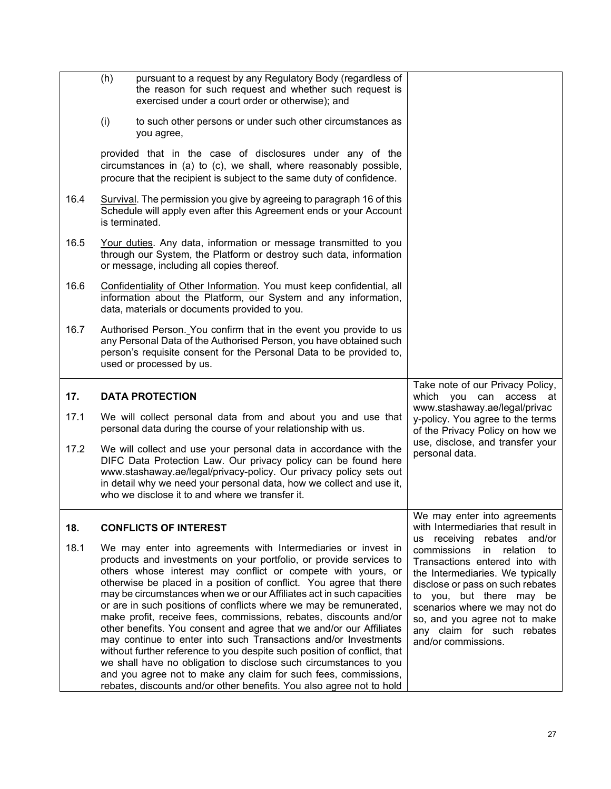<span id="page-28-1"></span><span id="page-28-0"></span>

|      | pursuant to a request by any Regulatory Body (regardless of<br>(h)<br>the reason for such request and whether such request is<br>exercised under a court order or otherwise); and                                                                                                                                                    |                                                                                                      |
|------|--------------------------------------------------------------------------------------------------------------------------------------------------------------------------------------------------------------------------------------------------------------------------------------------------------------------------------------|------------------------------------------------------------------------------------------------------|
|      | (i)<br>to such other persons or under such other circumstances as<br>you agree,                                                                                                                                                                                                                                                      |                                                                                                      |
|      | provided that in the case of disclosures under any of the<br>circumstances in (a) to (c), we shall, where reasonably possible,<br>procure that the recipient is subject to the same duty of confidence.                                                                                                                              |                                                                                                      |
| 16.4 | Survival. The permission you give by agreeing to paragraph 16 of this<br>Schedule will apply even after this Agreement ends or your Account<br>is terminated.                                                                                                                                                                        |                                                                                                      |
| 16.5 | Your duties. Any data, information or message transmitted to you<br>through our System, the Platform or destroy such data, information<br>or message, including all copies thereof.                                                                                                                                                  |                                                                                                      |
| 16.6 | Confidentiality of Other Information. You must keep confidential, all<br>information about the Platform, our System and any information,<br>data, materials or documents provided to you.                                                                                                                                            |                                                                                                      |
| 16.7 | Authorised Person. You confirm that in the event you provide to us<br>any Personal Data of the Authorised Person, you have obtained such<br>person's requisite consent for the Personal Data to be provided to,<br>used or processed by us.                                                                                          |                                                                                                      |
|      |                                                                                                                                                                                                                                                                                                                                      |                                                                                                      |
| 17.  | <b>DATA PROTECTION</b>                                                                                                                                                                                                                                                                                                               | Take note of our Privacy Policy,<br>which you can access at                                          |
| 17.1 | We will collect personal data from and about you and use that<br>personal data during the course of your relationship with us.                                                                                                                                                                                                       | www.stashaway.ae/legal/privac<br>y-policy. You agree to the terms<br>of the Privacy Policy on how we |
| 17.2 | We will collect and use your personal data in accordance with the<br>DIFC Data Protection Law. Our privacy policy can be found here<br>www.stashaway.ae/legal/privacy-policy. Our privacy policy sets out<br>in detail why we need your personal data, how we collect and use it,<br>who we disclose it to and where we transfer it. | use, disclose, and transfer your<br>personal data.                                                   |
| 18.  | <b>CONFLICTS OF INTEREST</b>                                                                                                                                                                                                                                                                                                         | We may enter into agreements<br>with Intermediaries that result in<br>us receiving rebates and/or    |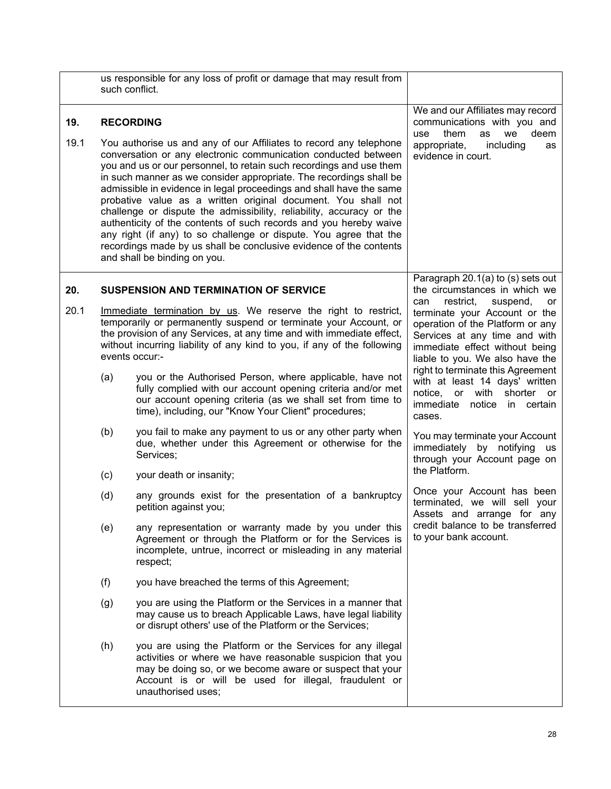<span id="page-29-1"></span><span id="page-29-0"></span>

|      | such conflict.                                                                                                                                                                                                                                                                                                                                                                                                                                                                                                                                                                                                                                                                                                                                    | us responsible for any loss of profit or damage that may result from                                                                                                                                                                                                                                     |                                                                                                                                                                                                                                                                                                                                                                               |
|------|---------------------------------------------------------------------------------------------------------------------------------------------------------------------------------------------------------------------------------------------------------------------------------------------------------------------------------------------------------------------------------------------------------------------------------------------------------------------------------------------------------------------------------------------------------------------------------------------------------------------------------------------------------------------------------------------------------------------------------------------------|----------------------------------------------------------------------------------------------------------------------------------------------------------------------------------------------------------------------------------------------------------------------------------------------------------|-------------------------------------------------------------------------------------------------------------------------------------------------------------------------------------------------------------------------------------------------------------------------------------------------------------------------------------------------------------------------------|
| 19.  |                                                                                                                                                                                                                                                                                                                                                                                                                                                                                                                                                                                                                                                                                                                                                   | <b>RECORDING</b>                                                                                                                                                                                                                                                                                         | We and our Affiliates may record<br>communications with you and<br>them<br>deem<br>we<br>use<br>as                                                                                                                                                                                                                                                                            |
| 19.1 | You authorise us and any of our Affiliates to record any telephone<br>conversation or any electronic communication conducted between<br>you and us or our personnel, to retain such recordings and use them<br>in such manner as we consider appropriate. The recordings shall be<br>admissible in evidence in legal proceedings and shall have the same<br>probative value as a written original document. You shall not<br>challenge or dispute the admissibility, reliability, accuracy or the<br>authenticity of the contents of such records and you hereby waive<br>any right (if any) to so challenge or dispute. You agree that the<br>recordings made by us shall be conclusive evidence of the contents<br>and shall be binding on you. |                                                                                                                                                                                                                                                                                                          | appropriate,<br>including<br>as<br>evidence in court.                                                                                                                                                                                                                                                                                                                         |
| 20.  | <b>SUSPENSION AND TERMINATION OF SERVICE</b>                                                                                                                                                                                                                                                                                                                                                                                                                                                                                                                                                                                                                                                                                                      |                                                                                                                                                                                                                                                                                                          | Paragraph 20.1(a) to (s) sets out<br>the circumstances in which we                                                                                                                                                                                                                                                                                                            |
| 20.1 |                                                                                                                                                                                                                                                                                                                                                                                                                                                                                                                                                                                                                                                                                                                                                   | Immediate termination by us. We reserve the right to restrict,<br>temporarily or permanently suspend or terminate your Account, or<br>the provision of any Services, at any time and with immediate effect,<br>without incurring liability of any kind to you, if any of the following<br>events occur:- | restrict,<br>suspend,<br>can<br>or<br>terminate your Account or the<br>operation of the Platform or any<br>Services at any time and with<br>immediate effect without being<br>liable to you. We also have the<br>right to terminate this Agreement<br>with at least 14 days' written<br>notice,<br>or<br>with<br>shorter<br>or<br>immediate<br>notice<br>in certain<br>cases. |
|      | (a)                                                                                                                                                                                                                                                                                                                                                                                                                                                                                                                                                                                                                                                                                                                                               | you or the Authorised Person, where applicable, have not<br>fully complied with our account opening criteria and/or met<br>our account opening criteria (as we shall set from time to<br>time), including, our "Know Your Client" procedures;                                                            |                                                                                                                                                                                                                                                                                                                                                                               |
|      | (b)                                                                                                                                                                                                                                                                                                                                                                                                                                                                                                                                                                                                                                                                                                                                               | you fail to make any payment to us or any other party when<br>due, whether under this Agreement or otherwise for the<br>Services;                                                                                                                                                                        | You may terminate your Account<br>immediately by notifying<br>us<br>through your Account page on                                                                                                                                                                                                                                                                              |
|      | (c)                                                                                                                                                                                                                                                                                                                                                                                                                                                                                                                                                                                                                                                                                                                                               | your death or insanity;                                                                                                                                                                                                                                                                                  | the Platform.                                                                                                                                                                                                                                                                                                                                                                 |
|      | (d)                                                                                                                                                                                                                                                                                                                                                                                                                                                                                                                                                                                                                                                                                                                                               | any grounds exist for the presentation of a bankruptcy<br>petition against you;                                                                                                                                                                                                                          | Once your Account has been<br>terminated, we will sell your<br>Assets and arrange for any                                                                                                                                                                                                                                                                                     |
|      | (e)                                                                                                                                                                                                                                                                                                                                                                                                                                                                                                                                                                                                                                                                                                                                               | any representation or warranty made by you under this<br>Agreement or through the Platform or for the Services is<br>incomplete, untrue, incorrect or misleading in any material<br>respect;                                                                                                             | credit balance to be transferred<br>to your bank account.                                                                                                                                                                                                                                                                                                                     |
|      | (f)                                                                                                                                                                                                                                                                                                                                                                                                                                                                                                                                                                                                                                                                                                                                               | you have breached the terms of this Agreement;                                                                                                                                                                                                                                                           |                                                                                                                                                                                                                                                                                                                                                                               |
|      | (g)                                                                                                                                                                                                                                                                                                                                                                                                                                                                                                                                                                                                                                                                                                                                               | you are using the Platform or the Services in a manner that<br>may cause us to breach Applicable Laws, have legal liability<br>or disrupt others' use of the Platform or the Services;                                                                                                                   |                                                                                                                                                                                                                                                                                                                                                                               |
|      | (h)                                                                                                                                                                                                                                                                                                                                                                                                                                                                                                                                                                                                                                                                                                                                               | you are using the Platform or the Services for any illegal<br>activities or where we have reasonable suspicion that you<br>may be doing so, or we become aware or suspect that your<br>Account is or will be used for illegal, fraudulent or<br>unauthorised uses;                                       |                                                                                                                                                                                                                                                                                                                                                                               |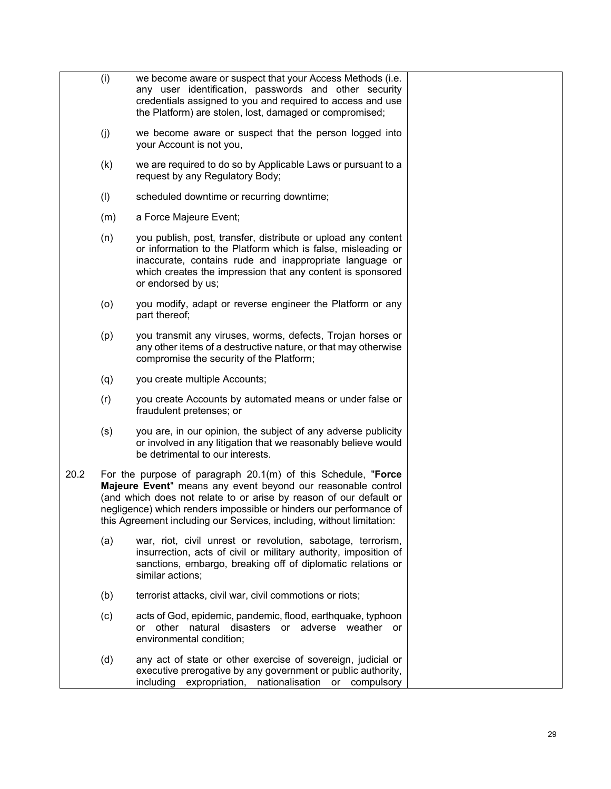|      | (i) | we become aware or suspect that your Access Methods (i.e.<br>any user identification, passwords and other security<br>credentials assigned to you and required to access and use<br>the Platform) are stolen, lost, damaged or compromised;                                                                                                          |  |
|------|-----|------------------------------------------------------------------------------------------------------------------------------------------------------------------------------------------------------------------------------------------------------------------------------------------------------------------------------------------------------|--|
|      | (j) | we become aware or suspect that the person logged into<br>your Account is not you,                                                                                                                                                                                                                                                                   |  |
|      | (k) | we are required to do so by Applicable Laws or pursuant to a<br>request by any Regulatory Body;                                                                                                                                                                                                                                                      |  |
|      | (1) | scheduled downtime or recurring downtime;                                                                                                                                                                                                                                                                                                            |  |
|      | (m) | a Force Majeure Event;                                                                                                                                                                                                                                                                                                                               |  |
|      | (n) | you publish, post, transfer, distribute or upload any content<br>or information to the Platform which is false, misleading or<br>inaccurate, contains rude and inappropriate language or<br>which creates the impression that any content is sponsored<br>or endorsed by us;                                                                         |  |
|      | (o) | you modify, adapt or reverse engineer the Platform or any<br>part thereof;                                                                                                                                                                                                                                                                           |  |
|      | (p) | you transmit any viruses, worms, defects, Trojan horses or<br>any other items of a destructive nature, or that may otherwise<br>compromise the security of the Platform;                                                                                                                                                                             |  |
|      | (q) | you create multiple Accounts;                                                                                                                                                                                                                                                                                                                        |  |
|      | (r) | you create Accounts by automated means or under false or<br>fraudulent pretenses; or                                                                                                                                                                                                                                                                 |  |
|      | (s) | you are, in our opinion, the subject of any adverse publicity<br>or involved in any litigation that we reasonably believe would<br>be detrimental to our interests.                                                                                                                                                                                  |  |
| 20.2 |     | For the purpose of paragraph $20.1(m)$ of this Schedule, "Force<br>Majeure Event" means any event beyond our reasonable control<br>(and which does not relate to or arise by reason of our default or<br>negligence) which renders impossible or hinders our performance of<br>this Agreement including our Services, including, without limitation: |  |
|      | (a) | war, riot, civil unrest or revolution, sabotage, terrorism,<br>insurrection, acts of civil or military authority, imposition of<br>sanctions, embargo, breaking off of diplomatic relations or<br>similar actions;                                                                                                                                   |  |
|      | (b) | terrorist attacks, civil war, civil commotions or riots;                                                                                                                                                                                                                                                                                             |  |
|      | (c) | acts of God, epidemic, pandemic, flood, earthquake, typhoon<br>or other natural disasters or adverse weather or<br>environmental condition;                                                                                                                                                                                                          |  |
|      | (d) | any act of state or other exercise of sovereign, judicial or<br>executive prerogative by any government or public authority,<br>nationalisation<br>including<br>expropriation,<br>or<br>compulsory                                                                                                                                                   |  |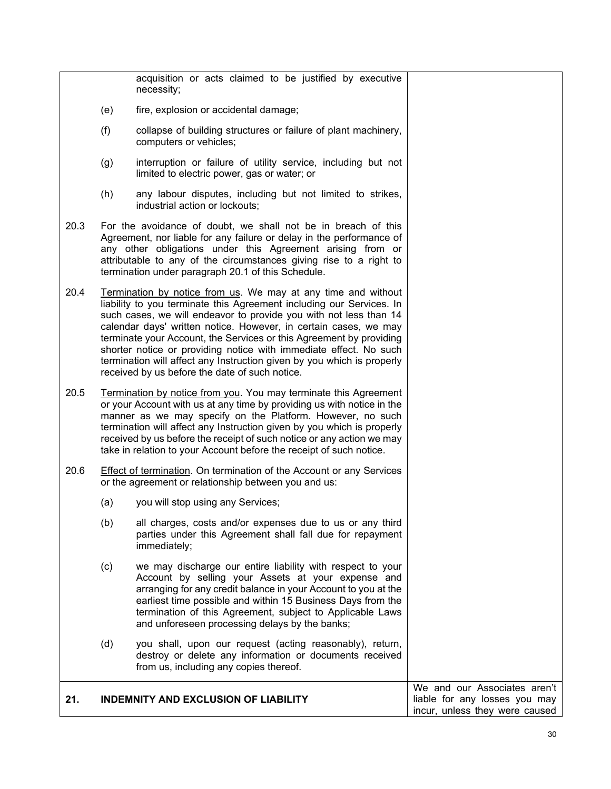acquisition or acts claimed to be justified by executive necessity; (e) fire, explosion or accidental damage; (f) collapse of building structures or failure of plant machinery, computers or vehicles; (g) interruption or failure of utility service, including but not limited to electric power, gas or water; or (h) any labour disputes, including but not limited to strikes, industrial action or lockouts; 20.3 For the avoidance of doubt, we shall not be in breach of this Agreement, nor liable for any failure or delay in the performance of any other obligations under this Agreement arising from or attributable to any of the circumstances giving rise to a right to termination under paragraph 20.1 of this Schedule. 20.4 Termination by notice from us. We may at any time and without liability to you terminate this Agreement including our Services. In such cases, we will endeavor to provide you with not less than 14 calendar days' written notice. However, in certain cases, we may terminate your Account, the Services or this Agreement by providing shorter notice or providing notice with immediate effect. No such termination will affect any Instruction given by you which is properly received by us before the date of such notice. 20.5 Termination by notice from you. You may terminate this Agreement or your Account with us at any time by providing us with notice in the manner as we may specify on the Platform. However, no such termination will affect any Instruction given by you which is properly received by us before the receipt of such notice or any action we may take in relation to your Account before the receipt of such notice. 20.6 Effect of termination. On termination of the Account or any Services or the agreement or relationship between you and us: (a) you will stop using any Services; (b) all charges, costs and/or expenses due to us or any third parties under this Agreement shall fall due for repayment immediately; (c) we may discharge our entire liability with respect to your Account by selling your Assets at your expense and arranging for any credit balance in your Account to you at the earliest time possible and within 15 Business Days from the termination of this Agreement, subject to Applicable Laws and unforeseen processing delays by the banks; (d) you shall, upon our request (acting reasonably), return, destroy or delete any information or documents received from us, including any copies thereof. **21. INDEMNITY AND EXCLUSION OF LIABILITY** We and our Associates aren't liable for any losses you may

<span id="page-31-0"></span>incur, unless they were caused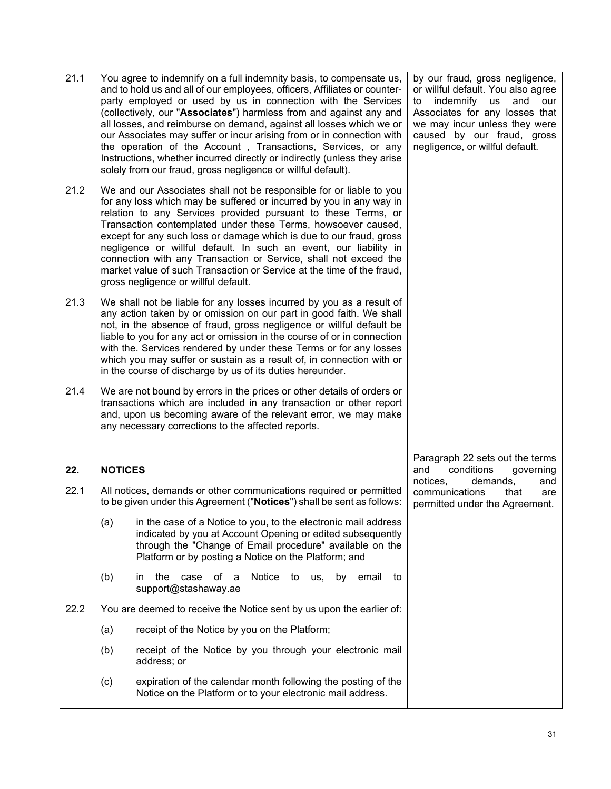<span id="page-32-0"></span>

| 21.1 |                | You agree to indemnify on a full indemnity basis, to compensate us,<br>and to hold us and all of our employees, officers, Affiliates or counter-<br>party employed or used by us in connection with the Services<br>(collectively, our "Associates") harmless from and against any and<br>all losses, and reimburse on demand, against all losses which we or<br>our Associates may suffer or incur arising from or in connection with<br>the operation of the Account, Transactions, Services, or any<br>Instructions, whether incurred directly or indirectly (unless they arise<br>solely from our fraud, gross negligence or willful default). | by our fraud, gross negligence,<br>or willful default. You also agree<br>indemnify<br>us<br>and<br>our<br>to<br>Associates for any losses that<br>we may incur unless they were<br>caused by our fraud, gross<br>negligence, or willful default. |
|------|----------------|----------------------------------------------------------------------------------------------------------------------------------------------------------------------------------------------------------------------------------------------------------------------------------------------------------------------------------------------------------------------------------------------------------------------------------------------------------------------------------------------------------------------------------------------------------------------------------------------------------------------------------------------------|--------------------------------------------------------------------------------------------------------------------------------------------------------------------------------------------------------------------------------------------------|
| 21.2 |                | We and our Associates shall not be responsible for or liable to you<br>for any loss which may be suffered or incurred by you in any way in<br>relation to any Services provided pursuant to these Terms, or<br>Transaction contemplated under these Terms, howsoever caused,<br>except for any such loss or damage which is due to our fraud, gross<br>negligence or willful default. In such an event, our liability in<br>connection with any Transaction or Service, shall not exceed the<br>market value of such Transaction or Service at the time of the fraud,<br>gross negligence or willful default.                                      |                                                                                                                                                                                                                                                  |
| 21.3 |                | We shall not be liable for any losses incurred by you as a result of<br>any action taken by or omission on our part in good faith. We shall<br>not, in the absence of fraud, gross negligence or willful default be<br>liable to you for any act or omission in the course of or in connection<br>with the. Services rendered by under these Terms or for any losses<br>which you may suffer or sustain as a result of, in connection with or<br>in the course of discharge by us of its duties hereunder.                                                                                                                                         |                                                                                                                                                                                                                                                  |
| 21.4 |                | We are not bound by errors in the prices or other details of orders or<br>transactions which are included in any transaction or other report<br>and, upon us becoming aware of the relevant error, we may make<br>any necessary corrections to the affected reports.                                                                                                                                                                                                                                                                                                                                                                               |                                                                                                                                                                                                                                                  |
| 22.  | <b>NOTICES</b> |                                                                                                                                                                                                                                                                                                                                                                                                                                                                                                                                                                                                                                                    | Paragraph 22 sets out the terms<br>conditions<br>and<br>governing                                                                                                                                                                                |
| 22.1 |                | All notices, demands or other communications required or permitted<br>to be given under this Agreement ("Notices") shall be sent as follows:                                                                                                                                                                                                                                                                                                                                                                                                                                                                                                       | notices,<br>demands,<br>and<br>communications<br>that<br>are<br>permitted under the Agreement.                                                                                                                                                   |
|      | (a)            | in the case of a Notice to you, to the electronic mail address<br>indicated by you at Account Opening or edited subsequently<br>through the "Change of Email procedure" available on the<br>Platform or by posting a Notice on the Platform; and                                                                                                                                                                                                                                                                                                                                                                                                   |                                                                                                                                                                                                                                                  |
|      | (b)            | Notice to<br>the case of a<br>us,<br>by<br>email<br>to<br>in.<br>support@stashaway.ae                                                                                                                                                                                                                                                                                                                                                                                                                                                                                                                                                              |                                                                                                                                                                                                                                                  |
| 22.2 |                | You are deemed to receive the Notice sent by us upon the earlier of:                                                                                                                                                                                                                                                                                                                                                                                                                                                                                                                                                                               |                                                                                                                                                                                                                                                  |
|      | (a)            | receipt of the Notice by you on the Platform;                                                                                                                                                                                                                                                                                                                                                                                                                                                                                                                                                                                                      |                                                                                                                                                                                                                                                  |
|      | (b)            | receipt of the Notice by you through your electronic mail<br>address; or                                                                                                                                                                                                                                                                                                                                                                                                                                                                                                                                                                           |                                                                                                                                                                                                                                                  |
|      | (c)            | expiration of the calendar month following the posting of the<br>Notice on the Platform or to your electronic mail address.                                                                                                                                                                                                                                                                                                                                                                                                                                                                                                                        |                                                                                                                                                                                                                                                  |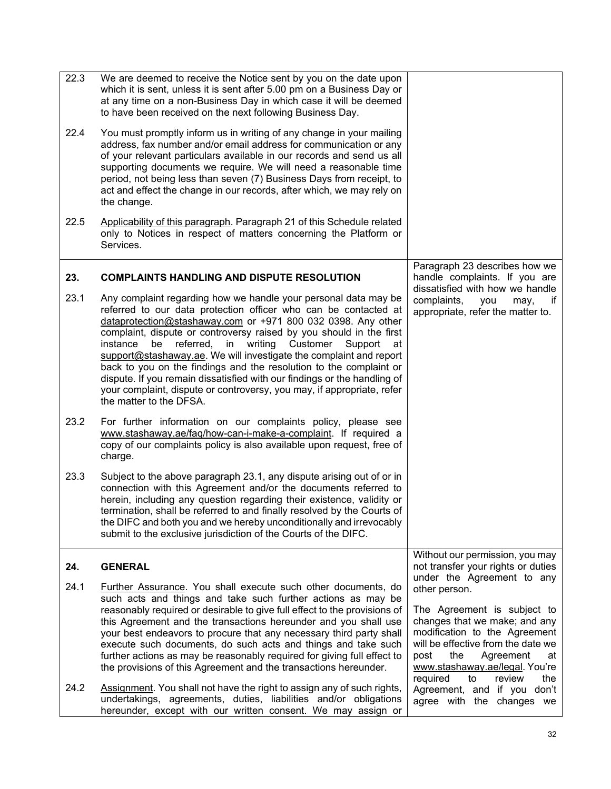<span id="page-33-1"></span><span id="page-33-0"></span>

| 22.3<br>22.4 | We are deemed to receive the Notice sent by you on the date upon<br>which it is sent, unless it is sent after 5.00 pm on a Business Day or<br>at any time on a non-Business Day in which case it will be deemed<br>to have been received on the next following Business Day.<br>You must promptly inform us in writing of any change in your mailing<br>address, fax number and/or email address for communication or any<br>of your relevant particulars available in our records and send us all<br>supporting documents we require. We will need a reasonable time<br>period, not being less than seven (7) Business Days from receipt, to<br>act and effect the change in our records, after which, we may rely on<br>the change. |                                                                                                                                                                                                                                                                                           |
|--------------|---------------------------------------------------------------------------------------------------------------------------------------------------------------------------------------------------------------------------------------------------------------------------------------------------------------------------------------------------------------------------------------------------------------------------------------------------------------------------------------------------------------------------------------------------------------------------------------------------------------------------------------------------------------------------------------------------------------------------------------|-------------------------------------------------------------------------------------------------------------------------------------------------------------------------------------------------------------------------------------------------------------------------------------------|
| 22.5         | Applicability of this paragraph. Paragraph 21 of this Schedule related<br>only to Notices in respect of matters concerning the Platform or<br>Services.                                                                                                                                                                                                                                                                                                                                                                                                                                                                                                                                                                               |                                                                                                                                                                                                                                                                                           |
| 23.          | <b>COMPLAINTS HANDLING AND DISPUTE RESOLUTION</b>                                                                                                                                                                                                                                                                                                                                                                                                                                                                                                                                                                                                                                                                                     | Paragraph 23 describes how we<br>handle complaints. If you are                                                                                                                                                                                                                            |
| 23.1         | Any complaint regarding how we handle your personal data may be<br>referred to our data protection officer who can be contacted at<br>dataprotection@stashaway.com or +971 800 032 0398. Any other<br>complaint, dispute or controversy raised by you should in the first<br>writing Customer<br>instance<br>be<br>referred, in<br>Support<br>at<br>support@stashaway.ae. We will investigate the complaint and report<br>back to you on the findings and the resolution to the complaint or<br>dispute. If you remain dissatisfied with our findings or the handling of<br>your complaint, dispute or controversy, you may, if appropriate, refer<br>the matter to the DFSA.                                                         | dissatisfied with how we handle<br>complaints,<br>you<br>may,<br>if<br>appropriate, refer the matter to.                                                                                                                                                                                  |
| 23.2         | For further information on our complaints policy, please see<br>www.stashaway.ae/faq/how-can-i-make-a-complaint. If required a<br>copy of our complaints policy is also available upon request, free of<br>charge.                                                                                                                                                                                                                                                                                                                                                                                                                                                                                                                    |                                                                                                                                                                                                                                                                                           |
| 23.3         | Subject to the above paragraph 23.1, any dispute arising out of or in<br>connection with this Agreement and/or the documents referred to<br>herein, including any question regarding their existence, validity or<br>termination, shall be referred to and finally resolved by the Courts of<br>the DIFC and both you and we hereby unconditionally and irrevocably<br>submit to the exclusive jurisdiction of the Courts of the DIFC.                                                                                                                                                                                                                                                                                                |                                                                                                                                                                                                                                                                                           |
| 24.          | <b>GENERAL</b>                                                                                                                                                                                                                                                                                                                                                                                                                                                                                                                                                                                                                                                                                                                        | Without our permission, you may<br>not transfer your rights or duties                                                                                                                                                                                                                     |
| 24.1         | Further Assurance. You shall execute such other documents, do<br>such acts and things and take such further actions as may be<br>reasonably required or desirable to give full effect to the provisions of<br>this Agreement and the transactions hereunder and you shall use<br>your best endeavors to procure that any necessary third party shall<br>execute such documents, do such acts and things and take such<br>further actions as may be reasonably required for giving full effect to<br>the provisions of this Agreement and the transactions hereunder.                                                                                                                                                                  | under the Agreement to any<br>other person.<br>The Agreement is subject to<br>changes that we make; and any<br>modification to the Agreement<br>will be effective from the date we<br>post<br>the<br>Agreement<br>at<br>www.stashaway.ae/legal. You're<br>required<br>review<br>the<br>to |
| 24.2         | Assignment. You shall not have the right to assign any of such rights,<br>undertakings, agreements, duties, liabilities and/or obligations<br>hereunder, except with our written consent. We may assign or                                                                                                                                                                                                                                                                                                                                                                                                                                                                                                                            | Agreement, and if you don't<br>agree with the changes we                                                                                                                                                                                                                                  |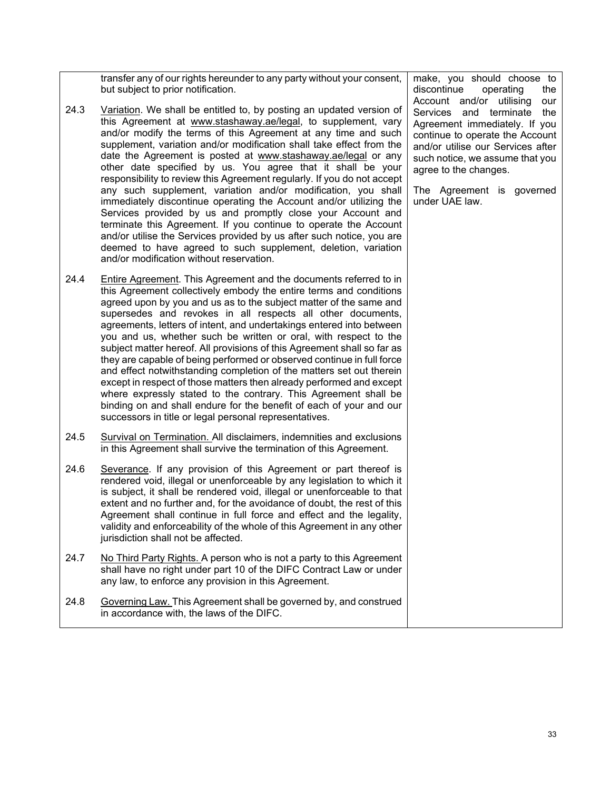transfer any of our rights hereunder to any party without your consent, but subject to prior notification.

- 24.3 Variation. We shall be entitled to, by posting an updated version of this Agreement at [www.stashaway.ae/legal](http://www.stashaway.ae/legal)[,](http://www.stashaway.sg/legal/terms-and-conditions) to supplement, vary and/or modify the terms of this Agreement at any time and such supplement, variation and/or modification shall take effect from the date the Agreement is posted at [www.stashaway.ae/legal](http://www.stashaway.ae/legal) or any other date specified by us. You agree that it shall be your responsibility to review this Agreement regularly. If you do not accept any such supplement, variation and/or modification, you shall immediately discontinue operating the Account and/or utilizing the Services provided by us and promptly close your Account and terminate this Agreement. If you continue to operate the Account and/or utilise the Services provided by us after such notice, you are deemed to have agreed to such supplement, deletion, variation and/or modification without reservation.
- 24.4 Entire Agreement. This Agreement and the documents referred to in this Agreement collectively embody the entire terms and conditions agreed upon by you and us as to the subject matter of the same and supersedes and revokes in all respects all other documents, agreements, letters of intent, and undertakings entered into between you and us, whether such be written or oral, with respect to the subject matter hereof. All provisions of this Agreement shall so far as they are capable of being performed or observed continue in full force and effect notwithstanding completion of the matters set out therein except in respect of those matters then already performed and except where expressly stated to the contrary. This Agreement shall be binding on and shall endure for the benefit of each of your and our successors in title or legal personal representatives.
- 24.5 Survival on Termination. All disclaimers, indemnities and exclusions in this Agreement shall survive the termination of this Agreement.
- 24.6 Severance. If any provision of this Agreement or part thereof is rendered void, illegal or unenforceable by any legislation to which it is subject, it shall be rendered void, illegal or unenforceable to that extent and no further and, for the avoidance of doubt, the rest of this Agreement shall continue in full force and effect and the legality, validity and enforceability of the whole of this Agreement in any other jurisdiction shall not be affected.
- 24.7 No Third Party Rights. A person who is not a party to this Agreement shall have no right under part 10 of the DIFC Contract Law or under any law, to enforce any provision in this Agreement.
- 24.8 Governing Law. This Agreement shall be governed by, and construed in accordance with, the laws of the DIFC.

make, you should choose to discontinue operating the Account and/or utilising our Services and terminate the Agreement immediately. If you continue to operate the Account and/or utilise our Services after such notice, we assume that you agree to the changes.

The Agreement is governed under UAE law.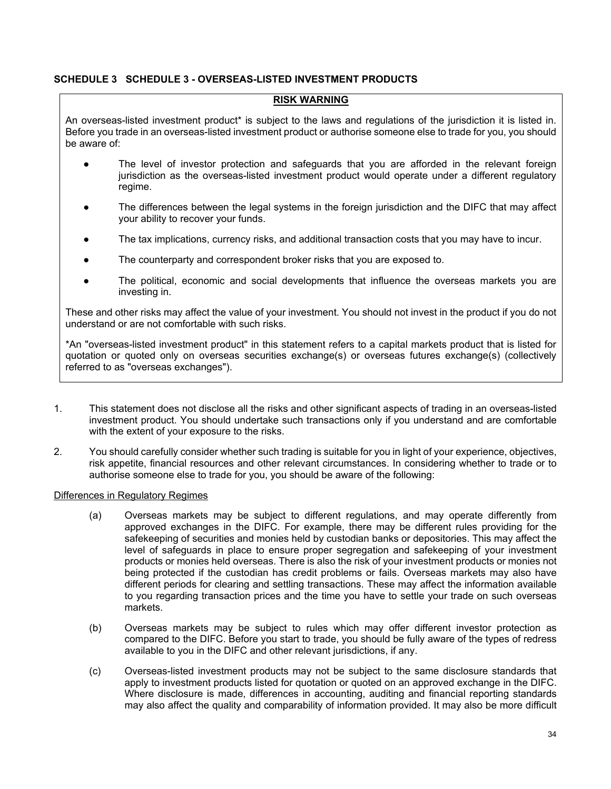#### <span id="page-35-0"></span>**SCHEDULE 3 SCHEDULE 3 - OVERSEAS-LISTED INVESTMENT PRODUCTS**

#### **RISK WARNING**

An overseas-listed investment product\* is subject to the laws and regulations of the jurisdiction it is listed in. Before you trade in an overseas-listed investment product or authorise someone else to trade for you, you should be aware of:

- The level of investor protection and safeguards that you are afforded in the relevant foreign jurisdiction as the overseas-listed investment product would operate under a different regulatory regime.
- The differences between the legal systems in the foreign jurisdiction and the DIFC that may affect your ability to recover your funds.
- The tax implications, currency risks, and additional transaction costs that you may have to incur.
- The counterparty and correspondent broker risks that you are exposed to.
- The political, economic and social developments that influence the overseas markets you are investing in.

These and other risks may affect the value of your investment. You should not invest in the product if you do not understand or are not comfortable with such risks.

\*An "overseas-listed investment product" in this statement refers to a capital markets product that is listed for quotation or quoted only on overseas securities exchange(s) or overseas futures exchange(s) (collectively referred to as "overseas exchanges").

- 1. This statement does not disclose all the risks and other significant aspects of trading in an overseas-listed investment product. You should undertake such transactions only if you understand and are comfortable with the extent of your exposure to the risks.
- 2. You should carefully consider whether such trading is suitable for you in light of your experience, objectives, risk appetite, financial resources and other relevant circumstances. In considering whether to trade or to authorise someone else to trade for you, you should be aware of the following:

#### Differences in Regulatory Regimes

- (a) Overseas markets may be subject to different regulations, and may operate differently from approved exchanges in the DIFC. For example, there may be different rules providing for the safekeeping of securities and monies held by custodian banks or depositories. This may affect the level of safeguards in place to ensure proper segregation and safekeeping of your investment products or monies held overseas. There is also the risk of your investment products or monies not being protected if the custodian has credit problems or fails. Overseas markets may also have different periods for clearing and settling transactions. These may affect the information available to you regarding transaction prices and the time you have to settle your trade on such overseas markets.
- (b) Overseas markets may be subject to rules which may offer different investor protection as compared to the DIFC. Before you start to trade, you should be fully aware of the types of redress available to you in the DIFC and other relevant jurisdictions, if any.
- (c) Overseas-listed investment products may not be subject to the same disclosure standards that apply to investment products listed for quotation or quoted on an approved exchange in the DIFC. Where disclosure is made, differences in accounting, auditing and financial reporting standards may also affect the quality and comparability of information provided. It may also be more difficult